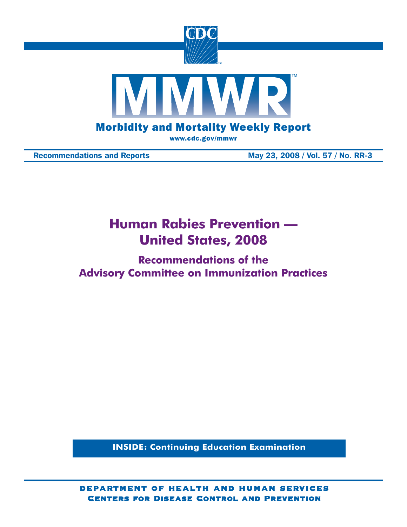

Recommendations and Reports May 23, 2008 / Vol. 57 / No. RR-3

# **Human Rabies Prevention — United States, 2008**

# **Recommendations of the Advisory Committee on Immunization Practices**

**INSIDE: Continuing Education Examination**

department of health and human services Centers for Disease Control and Prevention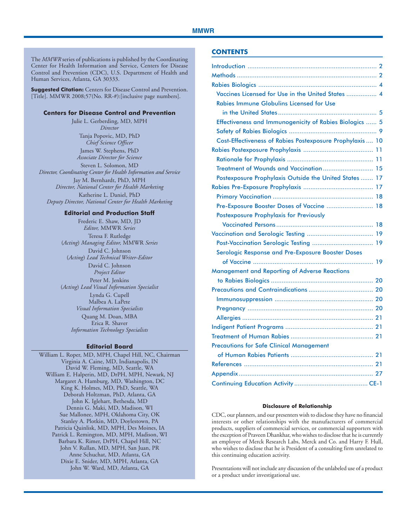### **MMWR**

The *MMWR* series of publications is published by the Coordinating Center for Health Information and Service, Centers for Disease Control and Prevention (CDC), U.S. Department of Health and Human Services, Atlanta, GA 30333.

**Suggested Citation:** Centers for Disease Control and Prevention. [Title]. MMWR 2008;57(No. RR-#): [inclusive page numbers].

#### **Centers for Disease Control and Prevention**

Julie L. Gerberding, MD, MPH *Director*

Tanja Popovic, MD, PhD *Chief Science Officer*

James W. Stephens, PhD *Associate Director for Science* Steven L. Solomon, MD

*Director, Coordinating Center for Health Information and Service* Jay M. Bernhardt, PhD, MPH

*Director, National Center for Health Marketing* Katherine L. Daniel, PhD *Deputy Director, National Center for Health Marketing*

#### **Editorial and Production Staff**

Frederic E. Shaw, MD, JD *Editor,* MMWR *Series* Teresa F. Rutledge (*Acting*) *Managing Editor,* MMWR *Series* David C. Johnson (*Acting*) *Lead Technical Writer-Editor* David C. Johnson *Project Editor* Peter M. Jenkins (*Acting*) *Lead Visual Information Specialist* Lynda G. Cupell Malbea A. LaPete *Visual Information Specialists* Quang M. Doan, MBA Erica R. Shaver *Information Technology Specialists*

#### **Editorial Board**

William L. Roper, MD, MPH, Chapel Hill, NC, Chairman Virginia A. Caine, MD, Indianapolis, IN David W. Fleming, MD, Seattle, WA William E. Halperin, MD, DrPH, MPH, Newark, NJ Margaret A. Hamburg, MD, Washington, DC King K. Holmes, MD, PhD, Seattle, WA Deborah Holtzman, PhD, Atlanta, GA John K. Iglehart, Bethesda, MD Dennis G. Maki, MD, Madison, WI Sue Mallonee, MPH, Oklahoma City, OK Stanley A. Plotkin, MD, Doylestown, PA Patricia Quinlisk, MD, MPH, Des Moines, IA Patrick L. Remington, MD, MPH, Madison, WI Barbara K. Rimer, DrPH, Chapel Hill, NC John V. Rullan, MD, MPH, San Juan, PR Anne Schuchat, MD, Atlanta, GA Dixie E. Snider, MD, MPH, Atlanta, GA John W. Ward, MD, Atlanta, GA

### **CONTENTS**

| Vaccines Licensed for Use in the United States  4         |
|-----------------------------------------------------------|
| <b>Rabies Immune Globulins Licensed for Use</b>           |
|                                                           |
| Effectiveness and Immunogenicity of Rabies Biologics  5   |
|                                                           |
| Cost-Effectiveness of Rabies Postexposure Prophylaxis  10 |
|                                                           |
|                                                           |
| Treatment of Wounds and Vaccination 15                    |
| Postexposure Prophylaxis Outside the United States  17    |
|                                                           |
|                                                           |
| Pre-Exposure Booster Doses of Vaccine  18                 |
| Postexposure Prophylaxis for Previously                   |
|                                                           |
|                                                           |
|                                                           |
| Serologic Response and Pre-Exposure Booster Doses         |
|                                                           |
| Management and Reporting of Adverse Reactions             |
|                                                           |
|                                                           |
|                                                           |
|                                                           |
|                                                           |
|                                                           |
|                                                           |
| <b>Precautions for Safe Clinical Management</b>           |
|                                                           |
|                                                           |
|                                                           |
|                                                           |

### **Disclosure of Relationship**

CDC, our planners, and our presenters wish to disclose they have no financial interests or other relationships with the manufacturers of commercial products, suppliers of commercial services, or commercial supporters with the exception of Praveen Dhankhar, who wishes to disclose that he is currently an employee of Merck Research Labs, Merck and Co. and Harry F. Hull, who wishes to disclose that he is President of a consulting firm unrelated to this continuing education activity.

Presentations will not include any discussion of the unlabeled use of a product or a product under investigational use.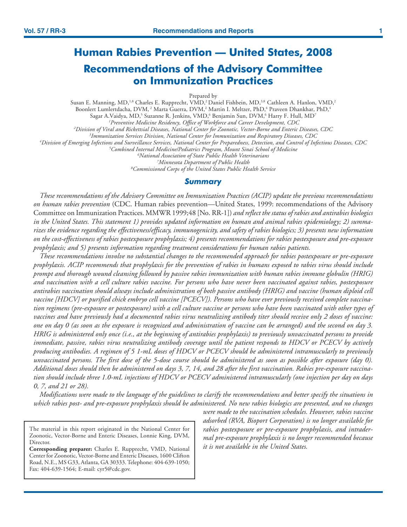# **Human Rabies Prevention — United States, 2008 Recommendations of the Advisory Committee on Immunization Practices**

Prepared by

Susan E. Manning, MD,<sup>1,8</sup> Charles E. Rupprecht, VMD,<sup>2</sup> Daniel Fishbein, MD,<sup>3,8</sup> Cathleen A. Hanlon, VMD,<sup>2</sup>

Boonlert Lumlertdacha, DVM, <sup>2</sup> Marta Guerra, DVM, <sup>2</sup> Martin I. Meltzer, PhD, <sup>4</sup> Praveen Dhankhar, PhD, <sup>4</sup>

Sagar A.Vaidya, MD,<sup>5</sup> Suzanne R. Jenkins, VMD,<sup>6</sup> Benjamin Sun, DVM,<sup>6</sup> Harry F. Hull, MD<sup>7</sup>

*1 Preventive Medicine Residency, Office of Workforce and Career Development, CDC*

*2 Division of Viral and Rickettsial Diseases, National Center for Zoonotic, Vector-Borne and Enteric Diseases, CDC*

*3 Immunization Services Division, National Center for Immunization and Respiratory Diseases, CDC*

*4 Division of Emerging Infections and Surveillance Services, National Center for Preparedness, Detection, and Control of Infectious Diseases, CDC*

*5 Combined Internal Medicine/Pediatrics Program, Mount Sinai School of Medicine*

*6 National Association of State Public Health Veterinarians*

*7 Minnesota Department of Public Health*

*8 Commissioned Corps of the United States Public Health Service*

#### *Summary*

*These recommendations of the Advisory Committee on Immunization Practices (ACIP) update the previous recommendations on human rabies prevention* (CDC. Human rabies prevention—United States, 1999: recommendations of the Advisory Committee on Immunization Practices. MMWR 1999;48 [No. RR-1]) *and reflect the status of rabies and antirabies biologics in the United States. This statement 1) provides updated information on human and animal rabies epidemiology; 2) summarizes the evidence regarding the effectiveness/efficacy, immunogenicity, and safety of rabies biologics; 3) presents new information on the cost-effectiveness of rabies postexposure prophylaxis; 4) presents recommendations for rabies postexposure and pre-exposure prophylaxis; and 5) presents information regarding treatment considerations for human rabies patients.*

*These recommendations involve no substantial changes to the recommended approach for rabies postexposure or pre-exposure prophylaxis. ACIP recommends that prophylaxis for the prevention of rabies in humans exposed to rabies virus should include prompt and thorough wound cleansing followed by passive rabies immunization with human rabies immune globulin (HRIG) and vaccination with a cell culture rabies vaccine. For persons who have never been vaccinated against rabies, postexposure antirabies vaccination should always include administration of both passive antibody (HRIG) and vaccine (human diploid cell vaccine [HDCV] or purified chick embryo cell vaccine [PCECV]). Persons who have ever previously received complete vaccination regimens (pre-exposure or postexposure) with a cell culture vaccine or persons who have been vaccinated with other types of vaccines and have previously had a documented rabies virus neutralizing antibody titer should receive only 2 doses of vaccine: one on day 0 (as soon as the exposure is recognized and administration of vaccine can be arranged) and the second on day 3. HRIG is administered only once (i.e., at the beginning of antirabies prophylaxis) to previously unvaccinated persons to provide immediate, passive, rabies virus neutralizing antibody coverage until the patient responds to HDCV or PCECV by actively producing antibodies. A regimen of 5 1-mL doses of HDCV or PCECV should be administered intramuscularly to previously unvaccinated persons. The first dose of the 5-dose course should be administered as soon as possible after exposure (day 0). Additional doses should then be administered on days 3, 7, 14, and 28 after the first vaccination. Rabies pre-exposure vaccination should include three 1.0-mL injections of HDCV or PCECV administered intramuscularly (one injection per day on days 0, 7, and 21 or 28).*

*Modifications were made to the language of the guidelines to clarify the recommendations and better specify the situations in which rabies post- and pre-exposure prophylaxis should be administered. No new rabies biologics are presented, and no changes*

*were made to the vaccination schedules. However, rabies vaccine adsorbed (RVA, Bioport Corporation) is no longer available for rabies postexposure or pre-exposure prophylaxis, and intradermal pre-exposure prophylaxis is no longer recommended because it is not available in the United States.*

The material in this report originated in the National Center for Zoonotic, Vector-Borne and Enteric Diseases, Lonnie King, DVM, Director.

**Corresponding preparer:** Charles E. Rupprecht, VMD, National Center for Zoonotic, Vector-Borne and Enteric Diseases, 1600 Clifton Road, N.E., MS G33, Atlanta, GA 30333. Telephone: 404-639-1050; Fax: 404-639-1564; E-mail: cyr5@cdc.gov.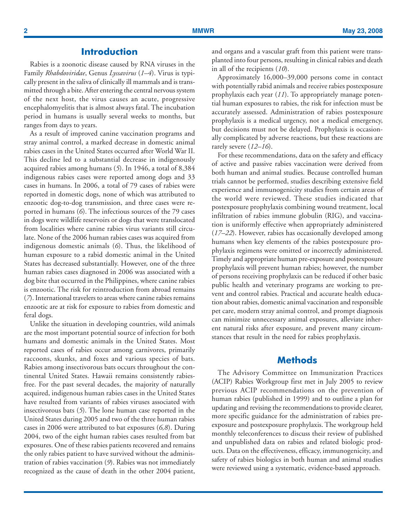# **Introduction**

Rabies is a zoonotic disease caused by RNA viruses in the Family *Rhabdoviridae*, Genus *Lyssavirus* (*1–4*). Virus is typically present in the saliva of clinically ill mammals and is transmitted through a bite. After entering the central nervous system of the next host, the virus causes an acute, progressive encephalomyelitis that is almost always fatal. The incubation period in humans is usually several weeks to months, but ranges from days to years.

As a result of improved canine vaccination programs and stray animal control, a marked decrease in domestic animal rabies cases in the United States occurred after World War II. This decline led to a substantial decrease in indigenously acquired rabies among humans (*5*). In 1946, a total of 8,384 indigenous rabies cases were reported among dogs and 33 cases in humans. In 2006, a total of 79 cases of rabies were reported in domestic dogs, none of which was attributed to enzootic dog-to-dog transmission, and three cases were reported in humans (*6*). The infectious sources of the 79 cases in dogs were wildlife reservoirs or dogs that were translocated from localities where canine rabies virus variants still circulate. None of the 2006 human rabies cases was acquired from indigenous domestic animals (*6*). Thus, the likelihood of human exposure to a rabid domestic animal in the United States has decreased substantially. However, one of the three human rabies cases diagnosed in 2006 was associated with a dog bite that occurred in the Philippines, where canine rabies is enzootic. The risk for reintroduction from abroad remains (*7*). International travelers to areas where canine rabies remains enzootic are at risk for exposure to rabies from domestic and feral dogs.

Unlike the situation in developing countries, wild animals are the most important potential source of infection for both humans and domestic animals in the United States. Most reported cases of rabies occur among carnivores, primarily raccoons, skunks, and foxes and various species of bats. Rabies among insectivorous bats occurs throughout the continental United States. Hawaii remains consistently rabiesfree. For the past several decades, the majority of naturally acquired, indigenous human rabies cases in the United States have resulted from variants of rabies viruses associated with insectivorous bats (*5*). The lone human case reported in the United States during 2005 and two of the three human rabies cases in 2006 were attributed to bat exposures (*6,8*). During 2004, two of the eight human rabies cases resulted from bat exposures. One of these rabies patients recovered and remains the only rabies patient to have survived without the administration of rabies vaccination (*9*). Rabies was not immediately recognized as the cause of death in the other 2004 patient,

and organs and a vascular graft from this patient were transplanted into four persons, resulting in clinical rabies and death in all of the recipients (*10*).

Approximately 16,000–39,000 persons come in contact with potentially rabid animals and receive rabies postexposure prophylaxis each year (*11*). To appropriately manage potential human exposures to rabies, the risk for infection must be accurately assessed. Administration of rabies postexposure prophylaxis is a medical urgency, not a medical emergency, but decisions must not be delayed. Prophylaxis is occasionally complicated by adverse reactions, but these reactions are rarely severe (*12–16*).

For these recommendations, data on the safety and efficacy of active and passive rabies vaccination were derived from both human and animal studies. Because controlled human trials cannot be performed, studies describing extensive field experience and immunogenicity studies from certain areas of the world were reviewed. These studies indicated that postexposure prophylaxis combining wound treatment, local infiltration of rabies immune globulin (RIG), and vaccination is uniformly effective when appropriately administered (*17–22*). However, rabies has occasionally developed among humans when key elements of the rabies postexposure prophylaxis regimens were omitted or incorrectly administered. Timely and appropriate human pre-exposure and postexposure prophylaxis will prevent human rabies; however, the number of persons receiving prophylaxis can be reduced if other basic public health and veterinary programs are working to prevent and control rabies. Practical and accurate health education about rabies, domestic animal vaccination and responsible pet care, modern stray animal control, and prompt diagnosis can minimize unnecessary animal exposures, alleviate inherent natural risks after exposure, and prevent many circumstances that result in the need for rabies prophylaxis.

# **Methods**

The Advisory Committee on Immunization Practices (ACIP) Rabies Workgroup first met in July 2005 to review previous ACIP recommendations on the prevention of human rabies (published in 1999) and to outline a plan for updating and revising the recommendations to provide clearer, more specific guidance for the administration of rabies preexposure and postexposure prophylaxis. The workgroup held monthly teleconferences to discuss their review of published and unpublished data on rabies and related biologic products. Data on the effectiveness, efficacy, immunogenicity, and safety of rabies biologics in both human and animal studies were reviewed using a systematic, evidence-based approach.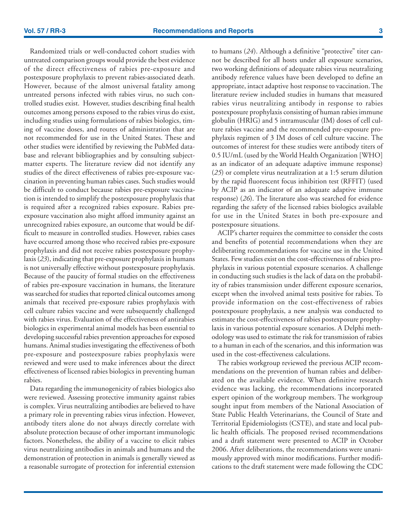Randomized trials or well-conducted cohort studies with untreated comparison groups would provide the best evidence of the direct effectiveness of rabies pre-exposure and postexposure prophylaxis to prevent rabies-associated death. However, because of the almost universal fatality among untreated persons infected with rabies virus, no such controlled studies exist. However, studies describing final health outcomes among persons exposed to the rabies virus do exist, including studies using formulations of rabies biologics, timing of vaccine doses, and routes of administration that are not recommended for use in the United States. These and other studies were identified by reviewing the PubMed database and relevant bibliographies and by consulting subjectmatter experts. The literature review did not identify any studies of the direct effectiveness of rabies pre-exposure vaccination in preventing human rabies cases. Such studies would be difficult to conduct because rabies pre-exposure vaccination is intended to simplify the postexposure prophylaxis that is required after a recognized rabies exposure. Rabies preexposure vaccination also might afford immunity against an unrecognized rabies exposure, an outcome that would be difficult to measure in controlled studies. However, rabies cases have occurred among those who received rabies pre-exposure prophylaxis and did not receive rabies postexposure prophylaxis (*23*), indicating that pre-exposure prophylaxis in humans is not universally effective without postexposure prophylaxis. Because of the paucity of formal studies on the effectiveness of rabies pre-exposure vaccination in humans, the literature was searched for studies that reported clinical outcomes among animals that received pre-exposure rabies prophylaxis with cell culture rabies vaccine and were subsequently challenged with rabies virus. Evaluation of the effectiveness of antirabies biologics in experimental animal models has been essential to developing successful rabies prevention approaches for exposed humans. Animal studies investigating the effectiveness of both pre-exposure and posteexposure rabies prophylaxis were reviewed and were used to make inferences about the direct effectiveness of licensed rabies biologics in preventing human rabies.

Data regarding the immunogenicity of rabies biologics also were reviewed. Assessing protective immunity against rabies is complex. Virus neutralizing antibodies are believed to have a primary role in preventing rabies virus infection. However, antibody titers alone do not always directly correlate with absolute protection because of other important immunologic factors. Nonetheless, the ability of a vaccine to elicit rabies virus neutralizing antibodies in animals and humans and the demonstration of protection in animals is generally viewed as a reasonable surrogate of protection for inferential extension to humans (*24*). Although a definitive "protective" titer cannot be described for all hosts under all exposure scenarios, two working definitions of adequate rabies virus neutralizing antibody reference values have been developed to define an appropriate, intact adaptive host response to vaccination. The literature review included studies in humans that measured rabies virus neutralizing antibody in response to rabies postexposure prophylaxis consisting of human rabies immune globulin (HRIG) and 5 intramuscular (IM) doses of cell culture rabies vaccine and the recommended pre-exposure prophylaxis regimen of 3 IM doses of cell culture vaccine. The outcomes of interest for these studies were antibody titers of 0.5 IU/mL (used by the World Health Organization [WHO] as an indicator of an adequate adaptive immune response) (*25*) or complete virus neutralization at a 1:5 serum dilution by the rapid fluorescent focus inhibition test (RFFIT) (used by ACIP as an indicator of an adequate adaptive immune response) (*26*). The literature also was searched for evidence regarding the safety of the licensed rabies biologics available for use in the United States in both pre-exposure and postexposure situations.

ACIP's charter requires the committee to consider the costs and benefits of potential recommendations when they are deliberating recommendations for vaccine use in the United States. Few studies exist on the cost-effectiveness of rabies prophylaxis in various potential exposure scenarios. A challenge in conducting such studies is the lack of data on the probability of rabies transmission under different exposure scenarios, except when the involved animal tests positive for rabies. To provide information on the cost-effectiveness of rabies postexposure prophylaxis, a new analysis was conducted to estimate the cost-effectiveness of rabies postexposure prophylaxis in various potential exposure scenarios. A Delphi methodology was used to estimate the risk for transmission of rabies to a human in each of the scenarios, and this information was used in the cost-effectiveness calculations.

The rabies workgroup reviewed the previous ACIP recommendations on the prevention of human rabies and deliberated on the available evidence. When definitive research evidence was lacking, the recommendations incorporated expert opinion of the workgroup members. The workgroup sought input from members of the National Association of State Public Health Veterinarians, the Council of State and Territorial Epidemiologists (CSTE), and state and local public health officials. The proposed revised recommendations and a draft statement were presented to ACIP in October 2006. After deliberations, the recommendations were unanimously approved with minor modifications. Further modifications to the draft statement were made following the CDC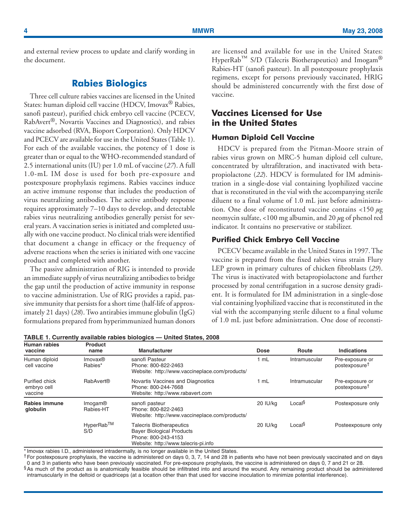and external review process to update and clarify wording in the document.

# **Rabies Biologics**

Three cell culture rabies vaccines are licensed in the United States: human diploid cell vaccine (HDCV, Imovax® Rabies, sanofi pasteur), purified chick embryo cell vaccine (PCECV, RabAvert®, Novartis Vaccines and Diagnostics), and rabies vaccine adsorbed (RVA, Bioport Corporation). Only HDCV and PCECV are available for use in the United States (Table 1). For each of the available vaccines, the potency of 1 dose is greater than or equal to the WHO-recommended standard of 2.5 international units (IU) per 1.0 mL of vaccine (*27*). A full 1.0-mL IM dose is used for both pre-exposure and postexposure prophylaxis regimens. Rabies vaccines induce an active immune response that includes the production of virus neutralizing antibodies. The active antibody response requires approximately 7–10 days to develop, and detectable rabies virus neutralizing antibodies generally persist for several years. A vaccination series is initiated and completed usually with one vaccine product. No clinical trials were identified that document a change in efficacy or the frequency of adverse reactions when the series is initiated with one vaccine product and completed with another.

The passive administration of RIG is intended to provide an immediate supply of virus neutralizing antibodies to bridge the gap until the production of active immunity in response to vaccine administration. Use of RIG provides a rapid, passive immunity that persists for a short time (half-life of approximately 21 days) (*28*). Two antirabies immune globulin (IgG) formulations prepared from hyperimmunized human donors

are licensed and available for use in the United States: HyperRab<sup>™</sup> S/D (Talecris Biotherapeutics) and Imogam<sup>®</sup> Rabies-HT (sanofi pasteur). In all postexposure prophylaxis regimens, except for persons previously vaccinated, HRIG should be administered concurrently with the first dose of vaccine.

# **Vaccines Licensed for Use in the United States**

### **Human Diploid Cell Vaccine**

HDCV is prepared from the Pitman-Moore strain of rabies virus grown on MRC-5 human diploid cell culture, concentrated by ultrafiltration, and inactivated with betapropiolactone (*22*). HDCV is formulated for IM administration in a single-dose vial containing lyophilized vaccine that is reconstituted in the vial with the accompanying sterile diluent to a final volume of 1.0 mL just before administration. One dose of reconstituted vaccine contains <150 *µ*g neomycin sulfate, <100 mg albumin, and 20 *µ*g of phenol red indicator. It contains no preservative or stabilizer.

### **Purified Chick Embryo Cell Vaccine**

PCECV became available in the United States in 1997. The vaccine is prepared from the fixed rabies virus strain Flury LEP grown in primary cultures of chicken fibroblasts (*29*). The virus is inactivated with betapropiolactone and further processed by zonal centrifugation in a sucrose density gradient. It is formulated for IM administration in a single-dose vial containing lyophilized vaccine that is reconstituted in the vial with the accompanying sterile diluent to a final volume of 1.0 mL just before administration. One dose of reconsti-

| Human rabies<br>vaccine                                                                                                                               | <b>Product</b><br>name      | <b>Manufacturer</b>                                                                                                                | <b>Dose</b>   | Route                                        | <b>Indications</b>                           |
|-------------------------------------------------------------------------------------------------------------------------------------------------------|-----------------------------|------------------------------------------------------------------------------------------------------------------------------------|---------------|----------------------------------------------|----------------------------------------------|
| Human diploid<br>cell vaccine                                                                                                                         | <b>Imovax®</b><br>Rabies*   | sanofi Pasteur<br>Phone: 800-822-2463<br>Website: http://www.vaccineplace.com/products/                                            | mL            | Intramuscular                                | Pre-exposure or<br>postexposure <sup>†</sup> |
| RabAvert®<br>Purified chick<br>Novartis Vaccines and Diagnostics<br>Phone: 800-244-7668<br>embryo cell<br>Website: http://www.rabavert.com<br>vaccine |                             | 1 mL                                                                                                                               | Intramuscular | Pre-exposure or<br>postexposure <sup>†</sup> |                                              |
| Rabies immune<br>qlobulin                                                                                                                             | <b>Imogam®</b><br>Rabies-HT | sanofi pasteur<br>Phone: 800-822-2463<br>Website: http://www.vaccineplace.com/products/                                            | 20 IU/kg      | Local <sup>§</sup>                           | Postexposure only                            |
|                                                                                                                                                       | HyperRab™<br>S/D            | <b>Talecris Biotherapeutics</b><br><b>Bayer Biological Products</b><br>Phone: 800-243-4153<br>Website: http://www.talecris-pi.info | 20 IU/kg      | Local <sup>§</sup>                           | Posteexposure only                           |

**TABLE 1. Currently available rabies biologics — United States, 2008**

\* Imovax rabies I.D., administered intradermally, is no longer available in the United States.

<sup>†</sup>For postexposure prophylaxis, the vaccine is administered on days 0, 3, 7, 14 and 28 in patients who have not been previously vaccinated and on days 0 and 3 in patients who have been previously vaccinated. For pre-exposure prophylaxis, the vaccine is administered on days 0, 7 and 21 or 28.

§As much of the product as is anatomically feasible should be infiltrated into and around the wound. Any remaining product should be administered intramuscularly in the deltoid or quadriceps (at a location other than that used for vaccine inoculation to minimize potential interference).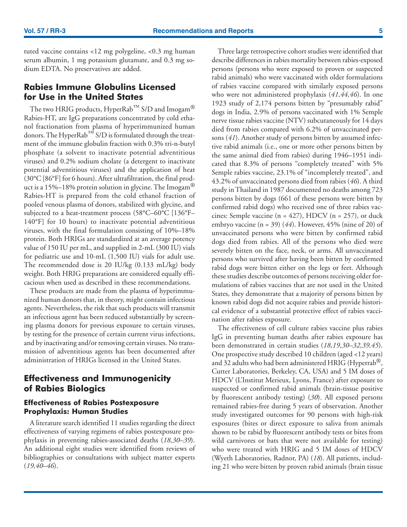tuted vaccine contains <12 mg polygeline, <0.3 mg human serum albumin, 1 mg potassium glutamate, and 0.3 mg sodium EDTA. No preservatives are added.

# **Rabies Immune Globulins Licensed for Use in the United States**

The two HRIG products, HyperRab™ S/D and Imogam® Rabies-HT, are IgG preparations concentrated by cold ethanol fractionation from plasma of hyperimmunized human donors. The HyperRab<sup>™</sup> S/D is formulated through the treatment of the immune globulin fraction with 0.3% tri-n-butyl phosphate (a solvent to inactivate potential adventitious viruses) and 0.2% sodium cholate (a detergent to inactivate potential adventitious viruses) and the application of heat (30°C [86°F] for 6 hours). After ultrafiltration, the final product is a 15%–18% protein solution in glycine. The Imogam<sup>®</sup> Rabies-HT is prepared from the cold ethanol fraction of pooled venous plasma of donors, stabilized with glycine, and subjected to a heat-treatment process (58°C–60°C [136°F– 140°F] for 10 hours) to inactivate potential adventitious viruses, with the final formulation consisting of 10%–18% protein. Both HRIGs are standardized at an average potency value of 150 IU per mL, and supplied in 2-mL (300 IU) vials for pediatric use and 10-mL (1,500 IU) vials for adult use. The recommended dose is 20 IU/kg (0.133 mL/kg) body weight. Both HRIG preparations are considered equally efficacious when used as described in these recommendations.

These products are made from the plasma of hyperimmunized human donors that, in theory, might contain infectious agents. Nevertheless, the risk that such products will transmit an infectious agent has been reduced substantially by screening plasma donors for previous exposure to certain viruses, by testing for the presence of certain current virus infections, and by inactivating and/or removing certain viruses. No transmission of adventitious agents has been documented after administration of HRIGs licensed in the United States.

# **Effectiveness and Immunogenicity of Rabies Biologics**

## **Effectiveness of Rabies Postexposure Prophylaxis: Human Studies**

A literature search identified 11 studies regarding the direct effectiveness of varying regimens of rabies postexposure prophylaxis in preventing rabies-associated deaths (*18,30–39*). An additional eight studies were identified from reviews of bibliographies or consultations with subject matter experts (*19,40–46*).

Three large retrospective cohort studies were identified that describe differences in rabies mortality between rabies-exposed persons (persons who were exposed to proven or suspected rabid animals) who were vaccinated with older formulations of rabies vaccine compared with similarly exposed persons who were not administered prophylaxis (*41,44,46*). In one 1923 study of 2,174 persons bitten by "presumably rabid" dogs in India, 2.9% of persons vaccinated with 1% Semple nerve tissue rabies vaccine (NTV) subcutaneously for 14 days died from rabies compared with 6.2% of unvaccinated persons (*41*). Another study of persons bitten by assumed infective rabid animals (i.e., one or more other persons bitten by the same animal died from rabies) during 1946–1951 indicated that 8.3% of persons "completely treated" with 5% Semple rabies vaccine, 23.1% of "incompletely treated", and 43.2% of unvaccinated persons died from rabies (*46*). A third study in Thailand in 1987 documented no deaths among 723 persons bitten by dogs (661 of these persons were bitten by confirmed rabid dogs) who received one of three rabies vaccines: Semple vaccine ( $n = 427$ ), HDCV ( $n = 257$ ), or duck embryo vaccine (n = 39) (*44*). However, 45% (nine of 20) of unvaccinated persons who were bitten by confirmed rabid dogs died from rabies. All of the persons who died were severely bitten on the face, neck, or arms. All unvaccinated persons who survived after having been bitten by confirmed rabid dogs were bitten either on the legs or feet. Although these studies describe outcomes of persons receiving older formulations of rabies vaccines that are not used in the United States, they demonstrate that a majority of persons bitten by known rabid dogs did not acquire rabies and provide historical evidence of a substantial protective effect of rabies vaccination after rabies exposure.

The effectiveness of cell culture rabies vaccine plus rabies IgG in preventing human deaths after rabies exposure has been demonstrated in certain studies (*18*,*19,30–32,39,45*). One prospective study described 10 children (aged <12 years) and 32 adults who had been administered HRIG (Hyperrab<sup>®</sup>, Cutter Laboratories, Berkeley, CA, USA) and 5 IM doses of HDCV (L'Institut Merieux, Lyons, France) after exposure to suspected or confirmed rabid animals (brain-tissue positive by fluorescent antibody testing) (*30*). All exposed persons remained rabies-free during 5 years of observation. Another study investigated outcomes for 90 persons with high-risk exposures (bites or direct exposure to saliva from animals shown to be rabid by fluorescent antibody tests or bites from wild carnivores or bats that were not available for testing) who were treated with HRIG and 5 IM doses of HDCV (Wyeth Laboratories, Radnor, PA) (*18*). All patients, including 21 who were bitten by proven rabid animals (brain tissue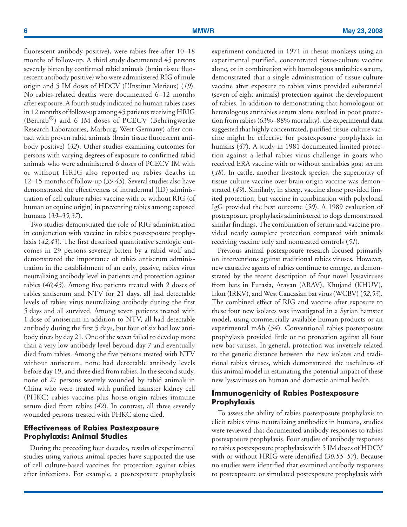fluorescent antibody positive), were rabies-free after 10–18 months of follow-up. A third study documented 45 persons severely bitten by confirmed rabid animals (brain tissue fluorescent antibody positive) who were administered RIG of mule origin and 5 IM doses of HDCV (L'Institut Merieux) (*19*). No rabies-related deaths were documented 6–12 months after exposure. A fourth study indicated no human rabies cases in 12 months of follow-up among 45 patients receiving HRIG (Berirab®) and 6 IM doses of PCECV (Behringwerke Research Laboratories, Marburg, West Germany) after contact with proven rabid animals (brain tissue fluorescent antibody positive) (*32*). Other studies examining outcomes for persons with varying degrees of exposure to confirmed rabid animals who were administered 6 doses of PCECV IM with or without HRIG also reported no rabies deaths in 12–15 months of follow-up (*39,45*). Several studies also have demonstrated the effectiveness of intradermal (ID) administration of cell culture rabies vaccine with or without RIG (of human or equine origin) in preventing rabies among exposed humans (*33–35,37*).

Two studies demonstrated the role of RIG administration in conjunction with vaccine in rabies postexposure prophylaxis (*42,43*). The first described quantitative serologic outcomes in 29 persons severely bitten by a rabid wolf and demonstrated the importance of rabies antiserum administration in the establishment of an early, passive, rabies virus neutralizing antibody level in patients and protection against rabies (*40,43*). Among five patients treated with 2 doses of rabies antiserum and NTV for 21 days, all had detectable levels of rabies virus neutralizing antibody during the first 5 days and all survived. Among seven patients treated with 1 dose of antiserum in addition to NTV, all had detectable antibody during the first 5 days, but four of six had low antibody titers by day 21. One of the seven failed to develop more than a very low antibody level beyond day 7 and eventually died from rabies. Among the five persons treated with NTV without antiserum, none had detectable antibody levels before day 19, and three died from rabies. In the second study, none of 27 persons severely wounded by rabid animals in China who were treated with purified hamster kidney cell (PHKC) rabies vaccine plus horse-origin rabies immune serum died from rabies (*42*). In contrast, all three severely wounded persons treated with PHKC alone died.

### **Effectiveness of Rabies Postexposure Prophylaxis: Animal Studies**

During the preceding four decades, results of experimental studies using various animal species have supported the use of cell culture-based vaccines for protection against rabies after infections. For example, a postexposure prophylaxis experiment conducted in 1971 in rhesus monkeys using an experimental purified, concentrated tissue-culture vaccine alone, or in combination with homologous antirabies serum, demonstrated that a single administration of tissue-culture vaccine after exposure to rabies virus provided substantial (seven of eight animals) protection against the development of rabies. In addition to demonstrating that homologous or heterologous antirabies serum alone resulted in poor protection from rabies (63%–88% mortality), the experimental data suggested that highly concentrated, purified tissue-culture vaccine might be effective for postexposure prophylaxis in humans (*47*). A study in 1981 documented limited protection against a lethal rabies virus challenge in goats who received ERA vaccine with or without antirabies goat serum (*48*). In cattle, another livestock species, the superiority of tissue culture vaccine over brain-origin vaccine was demonstrated (*49*). Similarly, in sheep, vaccine alone provided limited protection, but vaccine in combination with polyclonal IgG provided the best outcome (*50*). A 1989 evaluation of postexposure prophylaxis administered to dogs demonstrated similar findings. The combination of serum and vaccine provided nearly complete protection compared with animals receiving vaccine only and nontreated controls (*51*).

Previous animal postexposure research focused primarily on interventions against traditional rabies viruses. However, new causative agents of rabies continue to emerge, as demonstrated by the recent description of four novel lyssaviruses from bats in Eurasia, Aravan (ARAV), Khujand (KHUV), Irkut (IRKV), and West Caucasian bat virus (WCBV) (*52,53*). The combined effect of RIG and vaccine after exposure to these four new isolates was investigated in a Syrian hamster model, using commercially available human products or an experimental mAb (*54*). Conventional rabies postexposure prophylaxis provided little or no protection against all four new bat viruses. In general, protection was inversely related to the genetic distance between the new isolates and traditional rabies viruses, which demonstrated the usefulness of this animal model in estimating the potential impact of these new lyssaviruses on human and domestic animal health.

### **Immunogenicity of Rabies Postexposure Prophylaxis**

To assess the ability of rabies postexposure prophylaxis to elicit rabies virus neutralizing antibodies in humans, studies were reviewed that documented antibody responses to rabies postexposure prophylaxis. Four studies of antibody responses to rabies postexposure prophylaxis with 5 IM doses of HDCV with or without HRIG were identified (*30,55–57*). Because no studies were identified that examined antibody responses to postexposure or simulated postexposure prophylaxis with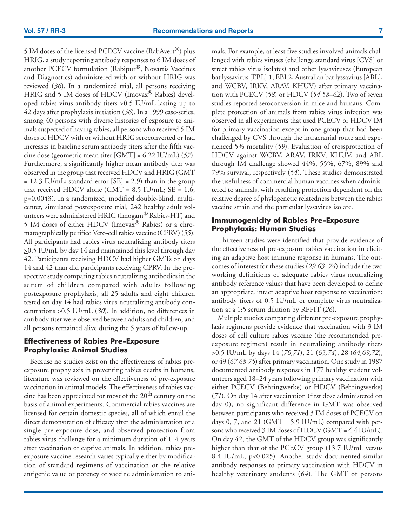5 IM doses of the licensed PCECV vaccine (RabAvert®) plus HRIG, a study reporting antibody responses to 6 IM doses of another PCECV formulation (Rabipur®, Novartis Vaccines and Diagnostics) administered with or without HRIG was reviewed (*36*). In a randomized trial, all persons receiving HRIG and 5 IM doses of HDCV (Imovax<sup>®</sup> Rabies) developed rabies virus antibody titers  $\geq 0.5$  IU/mL lasting up to 42 days after prophylaxis initiation (*56*). In a 1999 case-series, among 40 persons with diverse histories of exposure to animals suspected of having rabies, all persons who received 5 IM doses of HDCV with or without HRIG seroconverted or had increases in baseline serum antibody titers after the fifth vaccine dose (geometric mean titer [GMT] = 6.22 IU/mL) (*57*). Furthermore, a significantly higher mean antibody titer was observed in the group that received HDCV and HRIG (GMT  $= 12.3$  IU/mL; standard error [SE]  $= 2.9$ ) than in the group that received HDCV alone (GMT =  $8.5$  IU/mL; SE = 1.6; p=0.0043). In a randomized, modified double-blind, multicenter, simulated postexposure trial, 242 healthy adult volunteers were administered HRIG (Imogam® Rabies-HT) and 5 IM doses of either HDCV (Imovax® Rabies) or a chromatographically purified Vero-cell rabies vaccine (CPRV) (*55*). All participants had rabies virus neutralizing antibody titers  $\geq$ 0.5 IU/mL by day 14 and maintained this level through day 42. Participants receiving HDCV had higher GMTs on days 14 and 42 than did participants receiving CPRV. In the prospective study comparing rabies neutralizing antibodies in the serum of children compared with adults following postexposure prophylaxis, all 25 adults and eight children tested on day 14 had rabies virus neutralizing antibody concentrations >0.5 IU/mL (*30*). In addition, no differences in antibody titer were observed between adults and children, and all persons remained alive during the 5 years of follow-up.

### **Effectiveness of Rabies Pre-Exposure Prophylaxis: Animal Studies**

Because no studies exist on the effectiveness of rabies preexposure prophylaxis in preventing rabies deaths in humans, literature was reviewed on the effectiveness of pre-exposure vaccination in animal models. The effectiveness of rabies vaccine has been appreciated for most of the 20<sup>th</sup> century on the basis of animal experiments. Commercial rabies vaccines are licensed for certain domestic species, all of which entail the direct demonstration of efficacy after the administration of a single pre-exposure dose, and observed protection from rabies virus challenge for a minimum duration of 1–4 years after vaccination of captive animals. In addition, rabies preexposure vaccine research varies typically either by modification of standard regimens of vaccination or the relative antigenic value or potency of vaccine administration to animals. For example, at least five studies involved animals challenged with rabies viruses (challenge standard virus [CVS] or street rabies virus isolates) and other lyssaviruses (European bat lyssavirus [EBL] 1, EBL2, Australian bat lyssavirus [ABL], and WCBV, IRKV, ARAV, KHUV) after primary vaccination with PCECV (*58*) or HDCV (*54,58–62*). Two of seven studies reported seroconversion in mice and humans. Complete protection of animals from rabies virus infection was observed in all experiments that used PCECV or HDCV IM for primary vaccination except in one group that had been challenged by CVS through the intracranial route and experienced 5% mortality (*59*). Evaluation of crossprotection of HDCV against WCBV, ARAV, IRKV, KHUV, and ABL through IM challenge showed 44%, 55%, 67%, 89% and 79% survival, respectively (*54*). These studies demonstrated the usefulness of commercial human vaccines when administered to animals, with resulting protection dependent on the relative degree of phylogenetic relatedness between the rabies vaccine strain and the particular lyssavirus isolate.

### **Immunogenicity of Rabies Pre-Exposure Prophylaxis: Human Studies**

Thirteen studies were identified that provide evidence of the effectiveness of pre-exposure rabies vaccination in eliciting an adaptive host immune response in humans. The outcomes of interest for these studies (*29,63–74*) include the two working definitions of adequate rabies virus neutralizing antibody reference values that have been developed to define an appropriate, intact adaptive host response to vaccination: antibody titers of 0.5 IU/mL or complete virus neutralization at a 1:5 serum dilution by RFFIT (*26*).

Multiple studies comparing different pre-exposure prophylaxis regimens provide evidence that vaccination with 3 IM doses of cell culture rabies vaccine (the recommended preexposure regimen) result in neutralizing antibody titers >0.5 IU/mL by days 14 (*70,71*), 21 (*63,74*), 28 (*64,69,72*), or 49 (*67,68,75*) after primary vaccination. One study in 1987 documented antibody responses in 177 healthy student volunteers aged 18–24 years following primary vaccination with either PCECV (Behringwerke) or HDCV (Behringwerke) (*71*). On day 14 after vaccination (first dose administered on day 0), no significant difference in GMT was observed between participants who received 3 IM doses of PCECV on days 0, 7, and 21 (GMT = 5.9 IU/mL) compared with persons who received 3 IM doses of HDCV (GMT = 4.4 IU/mL). On day 42, the GMT of the HDCV group was significantly higher than that of the PCECV group (13.7 IU/mL versus 8.4 IU/mL; p<0.025). Another study documented similar antibody responses to primary vaccination with HDCV in healthy veterinary students (*64*). The GMT of persons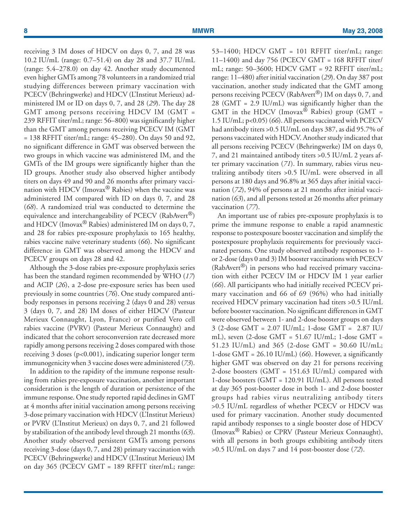receiving 3 IM doses of HDCV on days 0, 7, and 28 was 10.2 IU/mL (range: 0.7–51.4) on day 28 and 37.7 IU/mL (range: 5.4–278.0) on day 42. Another study documented even higher GMTs among 78 volunteers in a randomized trial studying differences between primary vaccination with PCECV (Behringwerke) and HDCV (L'Institut Merieux) administered IM or ID on days 0, 7, and 28 (*29*). The day 28 GMT among persons receiving HDCV IM (GMT = 239 RFFIT titer/mL; range: 56–800) was significantly higher than the GMT among persons receiving PCECV IM (GMT = 138 RFFIT titer/mL; range: 45–280). On days 50 and 92, no significant difference in GMT was observed between the two groups in which vaccine was administered IM, and the GMTs of the IM groups were significantly higher than the ID groups. Another study also observed higher antibody titers on days 49 and 90 and 26 months after primary vaccination with HDCV (Imovax® Rabies) when the vaccine was administered IM compared with ID on days 0, 7, and 28 (*68*). A randomized trial was conducted to determine the equivalence and interchangeability of PCECV (RabAvert<sup>®)</sup> and HDCV (Imovax® Rabies) administered IM on days 0, 7, and 28 for rabies pre-exposure prophylaxis to 165 healthy, rabies vaccine naïve veterinary students (*66*). No significant difference in GMT was observed among the HDCV and PCECV groups on days 28 and 42.

Although the 3-dose rabies pre-exposure prophylaxis series has been the standard regimen recommended by WHO (*17*) and ACIP (*26*), a 2-dose pre-exposure series has been used previously in some countries (*76*). One study compared antibody responses in persons receiving 2 (days 0 and 28) versus 3 (days 0, 7, and 28) IM doses of either HDCV (Pasteur Merieux Connaught, Lyon, France) or purified Vero cell rabies vaccine (PVRV) (Pasteur Merieux Connaught) and indicated that the cohort seroconversion rate decreased more rapidly among persons receiving 2 doses compared with those receiving 3 doses (p<0.001), indicating superior longer term immunogenicity when 3 vaccine doses were administered (*73*).

In addition to the rapidity of the immune response resulting from rabies pre-exposure vaccination, another important consideration is the length of duration or persistence of the immune response. One study reported rapid declines in GMT at 4 months after initial vaccination among persons receiving 3-dose primary vaccination with HDCV (L'Institut Merieux) or PVRV (L'Institut Merieux) on days 0, 7, and 21 followed by stabilization of the antibody level through 21 months (*63*). Another study observed persistent GMTs among persons receiving 3-dose (days 0, 7, and 28) primary vaccination with PCECV (Behringwerke) and HDCV (L'Institut Merieux) IM on day 365 (PCECV GMT = 189 RFFIT titer/mL; range:

53–1400; HDCV GMT = 101 RFFIT titer/mL; range: 11–1400) and day 756 (PCECV GMT = 168 RFFIT titer/ mL; range: 50–3600; HDCV GMT = 92 RFFIT titer/mL; range: 11–480) after initial vaccination (*29*). On day 387 post vaccination, another study indicated that the GMT among persons receiving PCECV (RabAvert®) IM on days 0, 7, and 28 (GMT = 2.9 IU/mL) was significantly higher than the GMT in the HDCV (Imovax<sup>®</sup> Rabies) group (GMT = 1.5 IU/mL; p<0.05) (*66*). All persons vaccinated with PCECV had antibody titers > 0.5 IU/mL on days 387, as did 95.7% of persons vaccinated with HDCV. Another study indicated that all persons receiving PCECV (Behringwerke) IM on days 0, 7, and 21 maintained antibody titers >0.5 IU/mL 2 years after primary vaccination (*71*). In summary, rabies virus neutralizing antibody titers >0.5 IU/mL were observed in all persons at 180 days and 96.8% at 365 days after initial vaccination (*72*), 94% of persons at 21 months after initial vaccination (*63*), and all persons tested at 26 months after primary vaccination (*77*).

An important use of rabies pre-exposure prophylaxis is to prime the immune response to enable a rapid anamnestic response to postexposure booster vaccination and simplify the postexposure prophylaxis requirements for previously vaccinated persons. One study observed antibody responses to 1 or 2-dose (days 0 and 3) IM booster vaccinations with PCECV (RabAvert®) in persons who had received primary vaccination with either PCECV IM or HDCV IM 1 year earlier (*66*). All participants who had initially received PCECV primary vaccination and 66 of 69 (96%) who had initially received HDCV primary vaccination had titers >0.5 IU/mL before booster vaccination. No significant differences in GMT were observed between 1- and 2-dose booster groups on days 3 (2-dose GMT = 2.07 IU/mL; 1-dose GMT = 2.87 IU/ mL), seven (2-dose GMT = 51.67 IU/mL; 1-dose GMT = 51.23 IU/mL) and 365 (2-dose GMT = 30.60 IU/mL; 1-dose GMT = 26.10 IU/mL) (*66*). However, a significantly higher GMT was observed on day 21 for persons receiving 2-dose boosters (GMT =  $151.63$  IU/mL) compared with 1-dose boosters (GMT = 120.91 IU/mL). All persons tested at day 365 post-booster dose in both 1- and 2-dose booster groups had rabies virus neutralizing antibody titers >0.5 IU/mL regardless of whether PCECV or HDCV was used for primary vaccination. Another study documented rapid antibody responses to a single booster dose of HDCV (Imovax® Rabies) or CPRV (Pasteur Merieux Connaught), with all persons in both groups exhibiting antibody titers >0.5 IU/mL on days 7 and 14 post-booster dose (*72*).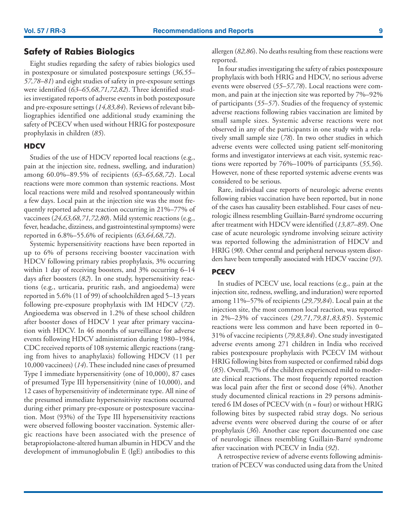## **Safety of Rabies Biologics**

Eight studies regarding the safety of rabies biologics used in postexposure or simulated postexposure settings (*36,55– 57,78–81*) and eight studies of safety in pre-exposure settings were identified (*63–65,68,71,72,82*). Three identified studies investigated reports of adverse events in both postexposure and pre-exposure settings (*14,83,84*). Reviews of relevant bibliographies identified one additional study examining the safety of PCECV when used without HRIG for postexposure prophylaxis in children (*85*)*.*

### **HDCV**

Studies of the use of HDCV reported local reactions (e.g., pain at the injection site, redness, swelling, and induration) among 60.0%–89.5% of recipients (*63–65,68,72*). Local reactions were more common than systemic reactions. Most local reactions were mild and resolved spontaneously within a few days. Local pain at the injection site was the most frequently reported adverse reaction occurring in 21%–77% of vaccinees (*24,63,68,71,72,80*). Mild systemic reactions (e.g., fever, headache, dizziness, and gastrointestinal symptoms) were reported in 6.8%–55.6% of recipients (*63,64,68,72*).

Systemic hypersensitivity reactions have been reported in up to 6% of persons receiving booster vaccination with HDCV following primary rabies prophylaxis, 3% occurring within 1 day of receiving boosters, and 3% occurring 6–14 days after boosters (*82*). In one study, hypersensitivity reactions (e.g., urticaria, pruritic rash, and angioedema) were reported in 5.6% (11 of 99) of schoolchildren aged 5–13 years following pre-exposure prophylaxis with IM HDCV (*72*). Angioedema was observed in 1.2% of these school children after booster doses of HDCV 1 year after primary vaccination with HDCV. In 46 months of surveillance for adverse events following HDCV administration during 1980–1984, CDC received reports of 108 systemic allergic reactions (ranging from hives to anaphylaxis) following HDCV (11 per 10,000 vaccinees) (*14*). These included nine cases of presumed Type I immediate hypersensitivity (one of 10,000), 87 cases of presumed Type III hypersensitivity (nine of 10,000), and 12 cases of hypersensitivity of indeterminate type. All nine of the presumed immediate hypersensitivity reactions occurred during either primary pre-exposure or postexposure vaccination. Most (93%) of the Type III hypersensitivity reactions were observed following booster vaccination. Systemic allergic reactions have been associated with the presence of betapropiolactone-altered human albumin in HDCV and the development of immunoglobulin E (IgE) antibodies to this

allergen (*82,86*). No deaths resulting from these reactions were reported.

In four studies investigating the safety of rabies postexposure prophylaxis with both HRIG and HDCV, no serious adverse events were observed (*55–57,78*). Local reactions were common, and pain at the injection site was reported by 7%–92% of participants (*55–57*). Studies of the frequency of systemic adverse reactions following rabies vaccination are limited by small sample sizes. Systemic adverse reactions were not observed in any of the participants in one study with a relatively small sample size (*78*). In two other studies in which adverse events were collected using patient self-monitoring forms and investigator interviews at each visit, systemic reactions were reported by 76%–100% of participants (*55,56*). However, none of these reported systemic adverse events was considered to be serious.

Rare, individual case reports of neurologic adverse events following rabies vaccination have been reported, but in none of the cases has causality been established. Four cases of neurologic illness resembling Guillain-Barré syndrome occurring after treatment with HDCV were identified (*13,87–89*). One case of acute neurologic syndrome involving seizure activity was reported following the administration of HDCV and HRIG (*90*). Other central and peripheral nervous system disorders have been temporally associated with HDCV vaccine (*91*).

### **PCECV**

In studies of PCECV use, local reactions (e.g., pain at the injection site, redness, swelling, and induration) were reported among 11%–57% of recipients (*29,79,84*). Local pain at the injection site, the most common local reaction, was reported in 2%–23% of vaccinees (*29,71,79,81,83,85*). Systemic reactions were less common and have been reported in 0– 31% of vaccine recipients (*79,83,84*). One study investigated adverse events among 271 children in India who received rabies postexposure prophylaxis with PCECV IM without HRIG following bites from suspected or confirmed rabid dogs (*85*). Overall, 7% of the children experienced mild to moderate clinical reactions. The most frequently reported reaction was local pain after the first or second dose (4%). Another study documented clinical reactions in 29 persons administered 6 IM doses of PCECV with (n = four) or without HRIG following bites by suspected rabid stray dogs. No serious adverse events were observed during the course of or after prophylaxis (*36*). Another case report documented one case of neurologic illness resembling Guillain-Barré syndrome after vaccination with PCECV in India (*92*).

A retrospective review of adverse events following administration of PCECV was conducted using data from the United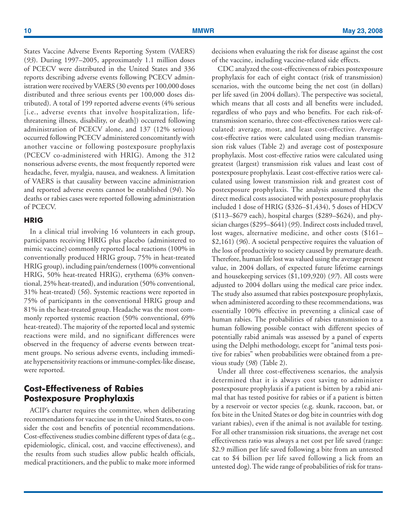States Vaccine Adverse Events Reporting System (VAERS) (*93*). During 1997–2005, approximately 1.1 million doses of PCECV were distributed in the United States and 336 reports describing adverse events following PCECV administration were received by VAERS (30 events per 100,000 doses distributed and three serious events per 100,000 doses distributed). A total of 199 reported adverse events (4% serious [i.e., adverse events that involve hospitalization, lifethreatening illness, disability, or death]) occurred following administration of PCECV alone, and 137 (12% serious) occurred following PCECV administered concomitantly with another vaccine or following postexposure prophylaxis (PCECV co-administered with HRIG). Among the 312 nonserious adverse events, the most frequently reported were headache, fever, myalgia, nausea, and weakness. A limitation of VAERS is that causality between vaccine administration and reported adverse events cannot be established (*94*). No deaths or rabies cases were reported following administration of PCECV.

### **HRIG**

In a clinical trial involving 16 volunteers in each group, participants receiving HRIG plus placebo (administered to mimic vaccine) commonly reported local reactions (100% in conventionally produced HRIG group, 75% in heat-treated HRIG group), including pain/tenderness (100% conventional HRIG, 50% heat-treated HRIG), erythema (63% conventional, 25% heat-treated), and induration (50% conventional, 31% heat-treated) (*56*). Systemic reactions were reported in 75% of participants in the conventional HRIG group and 81% in the heat-treated group. Headache was the most commonly reported systemic reaction (50% conventional, 69% heat-treated). The majority of the reported local and systemic reactions were mild, and no significant differences were observed in the frequency of adverse events between treatment groups. No serious adverse events, including immediate hypersensitivity reactions or immune-complex-like disease, were reported.

# **Cost-Effectiveness of Rabies Postexposure Prophylaxis**

ACIP's charter requires the committee, when deliberating recommendations for vaccine use in the United States, to consider the cost and benefits of potential recommendations. Cost-effectiveness studies combine different types of data (e.g., epidemiologic, clinical, cost, and vaccine effectiveness), and the results from such studies allow public health officials, medical practitioners, and the public to make more informed decisions when evaluating the risk for disease against the cost of the vaccine, including vaccine-related side effects.

CDC analyzed the cost-effectiveness of rabies postexposure prophylaxis for each of eight contact (risk of transmission) scenarios, with the outcome being the net cost (in dollars) per life saved (in 2004 dollars). The perspective was societal, which means that all costs and all benefits were included, regardless of who pays and who benefits. For each risk-oftransmission scenario, three cost-effectiveness ratios were calculated: average, most, and least cost-effective. Average cost-effective ratios were calculated using median transmission risk values (Table 2) and average cost of postexposure prophylaxis. Most cost-effective ratios were calculated using greatest (largest) transmission risk values and least cost of postexposure prophylaxis. Least cost-effective ratios were calculated using lowest transmission risk and greatest cost of postexposure prophylaxis. The analysis assumed that the direct medical costs associated with postexposure prophylaxis included 1 dose of HRIG (\$326–\$1,434), 5 doses of HDCV (\$113–\$679 each), hospital charges (\$289–\$624), and physician charges (\$295–\$641) (*95*). Indirect costs included travel, lost wages, alternative medicine, and other costs (\$161– \$2,161) (*96*). A societal perspective requires the valuation of the loss of productivity to society caused by premature death. Therefore, human life lost was valued using the average present value, in 2004 dollars, of expected future lifetime earnings and housekeeping services (\$1,109,920) (*97*). All costs were adjusted to 2004 dollars using the medical care price index. The study also assumed that rabies postexposure prophylaxis, when administered according to these recommendations, was essentially 100% effective in preventing a clinical case of human rabies. The probabilities of rabies transmission to a human following possible contact with different species of potentially rabid animals was assessed by a panel of experts using the Delphi methodology, except for "animal tests positive for rabies" when probabilities were obtained from a previous study (*98*) (Table 2).

Under all three cost-effectiveness scenarios, the analysis determined that it is always cost saving to administer postexposure prophylaxis if a patient is bitten by a rabid animal that has tested positive for rabies or if a patient is bitten by a reservoir or vector species (e.g. skunk, raccoon, bat, or fox bite in the United States or dog bite in countries with dog variant rabies), even if the animal is not available for testing. For all other transmission risk situations, the average net cost effectiveness ratio was always a net cost per life saved (range: \$2.9 million per life saved following a bite from an untested cat to \$4 billion per life saved following a lick from an untested dog). The wide range of probabilities of risk for trans-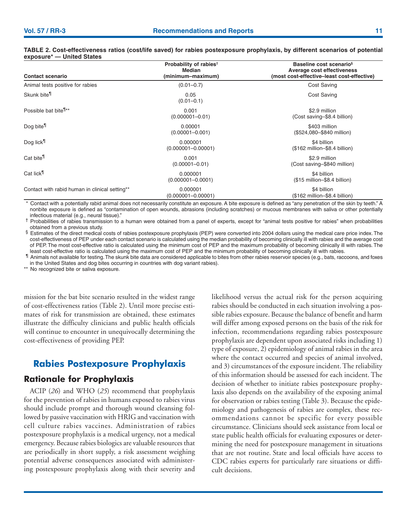| Contact scenario                               | Probability of rabies <sup>t</sup><br><b>Median</b><br>(minimum–maximum) | Baseline cost scenario <sup>§</sup><br>Average cost effectiveness<br>(most cost-effective-least cost-effective) |
|------------------------------------------------|--------------------------------------------------------------------------|-----------------------------------------------------------------------------------------------------------------|
| Animal tests positive for rabies               | $(0.01 - 0.7)$                                                           | <b>Cost Saving</b>                                                                                              |
| Skunk bite <sup>1</sup>                        | 0.05<br>$(0.01 - 0.1)$                                                   | <b>Cost Saving</b>                                                                                              |
| Possible bat bite <sup>¶**</sup>               | 0.001<br>$(0.000001 - 0.01)$                                             | \$2.9 million<br>(Cost saving-\$8.4 billion)                                                                    |
| Dog bite <sup>1</sup>                          | 0.00001<br>$(0.00001 - 0.001)$                                           | \$403 million<br>(\$524,080-\$840 million)                                                                      |
| Dog lick <sup>1</sup>                          | 0.000001<br>$(0.000001 - 0.00001)$                                       | \$4 billion<br>(\$162 million-\$8.4 billion)                                                                    |
| Cat bite <sup>1</sup>                          | 0.001<br>$(0.00001 - 0.01)$                                              | \$2.9 million<br>(Cost saving-\$840 million)                                                                    |
| Cat lick <sup>1</sup>                          | 0.000001<br>$(0.000001 - 0.0001)$                                        | \$4 billion<br>$($15$ million-\$8.4 billion)                                                                    |
| Contact with rabid human in clinical setting** | 0.000001<br>$(0.000001 - 0.00001)$                                       | \$4 billion<br>$($162$ million-\$8.4 billion)                                                                   |

#### **TABLE 2. Cost-effectiveness ratios (cost/life saved) for rabies postexposure prophylaxis, by different scenarios of potential exposure\* — United States**

\* Contact with a potentially rabid animal does not necessarily constitute an exposure. A bite exposure is defined as "any penetration of the skin by teeth." A nonbite exposure is defined as "contamination of open wounds, abrasions (including scratches) or mucous membranes with saliva or other potentially infectious material (e.g., neural tissue)."

<sup>†</sup> Probabilities of rabies transmission to a human were obtained from a panel of experts, except for "animal tests positive for rabies" when probabilities

obtained from a previous study.<br>§ Estimates of the direct medical costs of rabies postexposure prophylaxis (PEP) were converted into 2004 dollars using the medical care price index. The cost-effectiveness of PEP under each contact scenario is calculated using the median probability of becoming clinically ill with rabies and the average cost of PEP. The most cost-effective ratio is calculated using the minimum cost of PEP and the maximum probability of becoming clinically ill with rabies. The least cost-effective ratio is calculated using the maximum cost of PEP and the minimum probability of becoming clinically ill with rabies.

¶ Animals not available for testing. The skunk bite data are considered applicable to bites from other rabies reservoir species (e.g., bats, raccoons, and foxes in the United States and dog bites occurring in countries with dog variant rabies).

\*\* No recognized bite or saliva exposure.

mission for the bat bite scenario resulted in the widest range of cost-effectiveness ratios (Table 2). Until more precise estimates of risk for transmission are obtained, these estimates illustrate the difficulty clinicians and public health officials will continue to encounter in unequivocally determining the cost-effectiveness of providing PEP.

# **Rabies Postexposure Prophylaxis**

# **Rationale for Prophylaxis**

ACIP (*26*) and WHO (*25*) recommend that prophylaxis for the prevention of rabies in humans exposed to rabies virus should include prompt and thorough wound cleansing followed by passive vaccination with HRIG and vaccination with cell culture rabies vaccines. Administration of rabies postexposure prophylaxis is a medical urgency, not a medical emergency. Because rabies biologics are valuable resources that are periodically in short supply, a risk assessment weighing potential adverse consequences associated with administering postexposure prophylaxis along with their severity and likelihood versus the actual risk for the person acquiring rabies should be conducted in each situation involving a possible rabies exposure. Because the balance of benefit and harm will differ among exposed persons on the basis of the risk for infection, recommendations regarding rabies postexposure prophylaxis are dependent upon associated risks including 1) type of exposure, 2) epidemiology of animal rabies in the area where the contact occurred and species of animal involved, and 3) circumstances of the exposure incident. The reliability of this information should be assessed for each incident. The decision of whether to initiate rabies postexposure prophylaxis also depends on the availability of the exposing animal for observation or rabies testing (Table 3). Because the epidemiology and pathogenesis of rabies are complex, these recommendations cannot be specific for every possible circumstance. Clinicians should seek assistance from local or state public health officials for evaluating exposures or determining the need for postexposure management in situations that are not routine. State and local officials have access to CDC rabies experts for particularly rare situations or difficult decisions.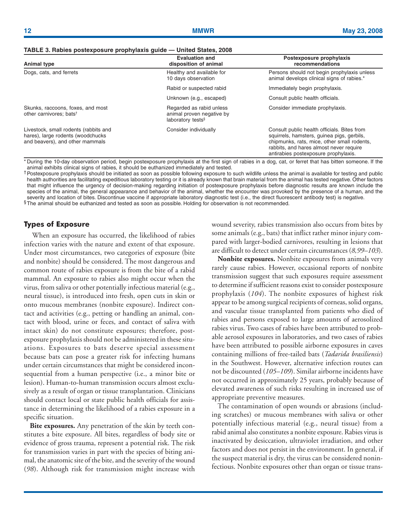| <b>Animal type</b>                                                                                            | <b>Evaluation and</b><br>disposition of animal                                         | Postexposure prophylaxis<br>recommendations                                                                                                                                                                                 |
|---------------------------------------------------------------------------------------------------------------|----------------------------------------------------------------------------------------|-----------------------------------------------------------------------------------------------------------------------------------------------------------------------------------------------------------------------------|
| Dogs, cats, and ferrets                                                                                       | Healthy and available for<br>10 days observation                                       | Persons should not begin prophylaxis unless<br>animal develops clinical signs of rabies.*                                                                                                                                   |
|                                                                                                               | Rabid or suspected rabid                                                               | Immediately begin prophylaxis.                                                                                                                                                                                              |
|                                                                                                               | Unknown (e.g., escaped)                                                                | Consult public health officials.                                                                                                                                                                                            |
| Skunks, raccoons, foxes, and most<br>other carnivores: bats <sup>t</sup>                                      | Regarded as rabid unless<br>animal proven negative by<br>laboratory tests <sup>§</sup> | Consider immediate prophylaxis.                                                                                                                                                                                             |
| Livestock, small rodents (rabbits and<br>hares), large rodents (woodchucks<br>and beavers), and other mammals | Consider individually                                                                  | Consult public health officials. Bites from<br>squirrels, hamsters, guinea pigs, gerbils,<br>chipmunks, rats, mice, other small rodents,<br>rabbits, and hares almost never require<br>antirabies postexposure prophylaxis. |

#### **TABLE 3. Rabies postexposure prophylaxis guide — United States, 2008**

\* During the 10-day observation period, begin postexposure prophylaxis at the first sign of rabies in a dog, cat, or ferret that has bitten someone. If the animal exhibits clinical signs of rabies, it should be euthanized immediately and tested.

†Postexposure prophylaxis should be initiated as soon as possible following exposure to such wildlife unless the animal is available for testing and public health authorities are facilitating expeditious laboratory testing or it is already known that brain material from the animal has tested negative. Other factors that might influence the urgency of decision-making regarding initiation of postexposure prophylaxis before diagnostic results are known include the species of the animal, the general appearance and behavior of the animal, whether the encounter was provoked by the presence of a human, and the severity and location of bites. Discontinue vaccine if appropriate laboratory diagnostic test (i.e., the direct fluorescent antibody test) is negative.  $§$  The animal should be euthanized and tested as soon as possible. H

### **Types of Exposure**

 When an exposure has occurred, the likelihood of rabies infection varies with the nature and extent of that exposure. Under most circumstances, two categories of exposure (bite and nonbite) should be considered. The most dangerous and common route of rabies exposure is from the bite of a rabid mammal. An exposure to rabies also might occur when the virus, from saliva or other potentially infectious material (e.g., neural tissue), is introduced into fresh, open cuts in skin or onto mucous membranes (nonbite exposure). Indirect contact and activities (e.g., petting or handling an animal, contact with blood, urine or feces, and contact of saliva with intact skin) do not constitute exposures; therefore, postexposure prophylaxis should not be administered in these situations. Exposures to bats deserve special assessment because bats can pose a greater risk for infecting humans under certain circumstances that might be considered inconsequential from a human perspective (i.e., a minor bite or lesion). Human-to-human transmission occurs almost exclusively as a result of organ or tissue transplantation. Clinicians should contact local or state public health officials for assistance in determining the likelihood of a rabies exposure in a specific situation.

**Bite exposures.** Any penetration of the skin by teeth constitutes a bite exposure. All bites, regardless of body site or evidence of gross trauma, represent a potential risk. The risk for transmission varies in part with the species of biting animal, the anatomic site of the bite, and the severity of the wound (*98*). Although risk for transmission might increase with wound severity, rabies transmission also occurs from bites by some animals (e.g., bats) that inflict rather minor injury compared with larger-bodied carnivores, resulting in lesions that are difficult to detect under certain circumstances (*8,99–103*).

**Nonbite exposures.** Nonbite exposures from animals very rarely cause rabies. However, occasional reports of nonbite transmission suggest that such exposures require assessment to determine if sufficient reasons exist to consider postexposure prophylaxis (*104*). The nonbite exposures of highest risk appear to be among surgical recipients of corneas, solid organs, and vascular tissue transplanted from patients who died of rabies and persons exposed to large amounts of aerosolized rabies virus. Two cases of rabies have been attributed to probable aerosol exposures in laboratories, and two cases of rabies have been attributed to possible airborne exposures in caves containing millions of free-tailed bats (*Tadarida brasiliensis*) in the Southwest. However, alternative infection routes can not be discounted (*105–109*). Similar airborne incidents have not occurred in approximately 25 years, probably because of elevated awareness of such risks resulting in increased use of appropriate preventive measures.

The contamination of open wounds or abrasions (including scratches) or mucous membranes with saliva or other potentially infectious material (e.g., neural tissue) from a rabid animal also constitutes a nonbite exposure. Rabies virus is inactivated by desiccation, ultraviolet irradiation, and other factors and does not persist in the environment. In general, if the suspect material is dry, the virus can be considered noninfectious. Nonbite exposures other than organ or tissue trans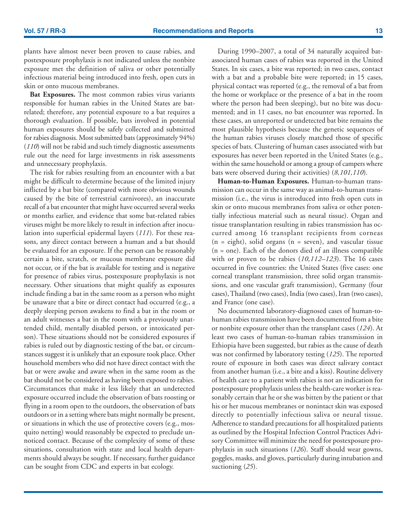plants have almost never been proven to cause rabies, and postexposure prophylaxis is not indicated unless the nonbite exposure met the definition of saliva or other potentially infectious material being introduced into fresh, open cuts in skin or onto mucous membranes.

**Bat Exposures.** The most common rabies virus variants responsible for human rabies in the United States are batrelated; therefore, any potential exposure to a bat requires a thorough evaluation. If possible, bats involved in potential human exposures should be safely collected and submitted for rabies diagnosis. Most submitted bats (approximately 94%) (*110*) will not be rabid and such timely diagnostic assessments rule out the need for large investments in risk assessments and unnecessary prophylaxis.

The risk for rabies resulting from an encounter with a bat might be difficult to determine because of the limited injury inflicted by a bat bite (compared with more obvious wounds caused by the bite of terrestrial carnivores), an inaccurate recall of a bat encounter that might have occurred several weeks or months earlier, and evidence that some bat-related rabies viruses might be more likely to result in infection after inoculation into superficial epidermal layers (*111*). For these reasons, any direct contact between a human and a bat should be evaluated for an exposure. If the person can be reasonably certain a bite, scratch, or mucous membrane exposure did not occur, or if the bat is available for testing and is negative for presence of rabies virus, postexposure prophylaxis is not necessary. Other situations that might qualify as exposures include finding a bat in the same room as a person who might be unaware that a bite or direct contact had occurred (e.g., a deeply sleeping person awakens to find a bat in the room or an adult witnesses a bat in the room with a previously unattended child, mentally disabled person, or intoxicated person). These situations should not be considered exposures if rabies is ruled out by diagnostic testing of the bat, or circumstances suggest it is unlikely that an exposure took place. Other household members who did not have direct contact with the bat or were awake and aware when in the same room as the bat should not be considered as having been exposed to rabies. Circumstances that make it less likely that an undetected exposure occurred include the observation of bats roosting or flying in a room open to the outdoors, the observation of bats outdoors or in a setting where bats might normally be present, or situations in which the use of protective covers (e.g., mosquito netting) would reasonably be expected to preclude unnoticed contact. Because of the complexity of some of these situations, consultation with state and local health departments should always be sought. If necessary, further guidance can be sought from CDC and experts in bat ecology.

During 1990–2007, a total of 34 naturally acquired batassociated human cases of rabies was reported in the United States. In six cases, a bite was reported; in two cases, contact with a bat and a probable bite were reported; in 15 cases, physical contact was reported (e.g., the removal of a bat from the home or workplace or the presence of a bat in the room where the person had been sleeping), but no bite was documented; and in 11 cases, no bat encounter was reported. In these cases, an unreported or undetected bat bite remains the most plausible hypothesis because the genetic sequences of the human rabies viruses closely matched those of specific species of bats. Clustering of human cases associated with bat exposures has never been reported in the United States (e.g., within the same household or among a group of campers where bats were observed during their activities) (*8,101,110*).

**Human-to-Human Exposures.** Human-to-human transmission can occur in the same way as animal-to-human transmission (i.e., the virus is introduced into fresh open cuts in skin or onto mucous membranes from saliva or other potentially infectious material such as neural tissue). Organ and tissue transplantation resulting in rabies transmission has occurred among 16 transplant recipients from corneas  $(n = eight)$ , solid organs  $(n = seven)$ , and vascular tissue  $(n = one)$ . Each of the donors died of an illness compatible with or proven to be rabies (*10,112–123*). The 16 cases occurred in five countries: the United States (five cases: one corneal transplant transmission, three solid organ transmissions, and one vascular graft transmission), Germany (four cases), Thailand (two cases), India (two cases), Iran (two cases), and France (one case).

No documented laboratory-diagnosed cases of human-tohuman rabies transmission have been documented from a bite or nonbite exposure other than the transplant cases (*124*). At least two cases of human-to-human rabies transmission in Ethiopia have been suggested, but rabies as the cause of death was not confirmed by laboratory testing (*125*). The reported route of exposure in both cases was direct salivary contact from another human (i.e., a bite and a kiss). Routine delivery of health care to a patient with rabies is not an indication for postexposure prophylaxis unless the health-care worker is reasonably certain that he or she was bitten by the patient or that his or her mucous membranes or nonintact skin was exposed directly to potentially infectious saliva or neural tissue. Adherence to standard precautions for all hospitalized patients as outlined by the Hospital Infection Control Practices Advisory Committee will minimize the need for postexposure prophylaxis in such situations (*126*). Staff should wear gowns, goggles, masks, and gloves, particularly during intubation and suctioning (*25*).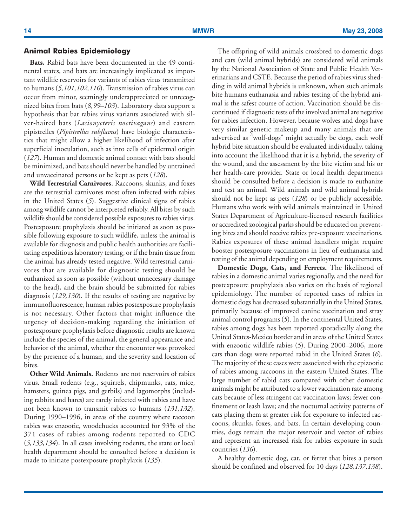### **Animal Rabies Epidemiology**

**Bats.** Rabid bats have been documented in the 49 continental states, and bats are increasingly implicated as important wildlife reservoirs for variants of rabies virus transmitted to humans (*5,101,102,110*). Transmission of rabies virus can occur from minor, seemingly underappreciated or unrecognized bites from bats (*8,99–103*). Laboratory data support a hypothesis that bat rabies virus variants associated with silver-haired bats (*Lasionycteris noctivagans*) and eastern pipistrelles (*Pipistrellus subflavus*) have biologic characteristics that might allow a higher likelihood of infection after superficial inoculation, such as into cells of epidermal origin (*127*). Human and domestic animal contact with bats should be minimized, and bats should never be handled by untrained and unvaccinated persons or be kept as pets (*128*).

**Wild Terrestrial Carnivores.** Raccoons, skunks, and foxes are the terrestrial carnivores most often infected with rabies in the United States (*5*). Suggestive clinical signs of rabies among wildlife cannot be interpreted reliably. All bites by such wildlife should be considered possible exposures to rabies virus. Postexposure prophylaxis should be initiated as soon as possible following exposure to such wildlife, unless the animal is available for diagnosis and public health authorities are facilitating expeditious laboratory testing, or if the brain tissue from the animal has already tested negative. Wild terrestrial carnivores that are available for diagnostic testing should be euthanized as soon as possible (without unnecessary damage to the head), and the brain should be submitted for rabies diagnosis (*129,130*). If the results of testing are negative by immunofluorescence, human rabies postexposure prophylaxis is not necessary. Other factors that might influence the urgency of decision-making regarding the initiation of postexposure prophylaxis before diagnostic results are known include the species of the animal, the general appearance and behavior of the animal, whether the encounter was provoked by the presence of a human, and the severity and location of bites.

**Other Wild Animals.** Rodents are not reservoirs of rabies virus. Small rodents (e.g., squirrels, chipmunks, rats, mice, hamsters, guinea pigs, and gerbils) and lagomorphs (including rabbits and hares) are rarely infected with rabies and have not been known to transmit rabies to humans (*131,132*). During 1990–1996, in areas of the country where raccoon rabies was enzootic, woodchucks accounted for 93% of the 371 cases of rabies among rodents reported to CDC (*5,133,134*). In all cases involving rodents, the state or local health department should be consulted before a decision is made to initiate postexposure prophylaxis (*135*).

The offspring of wild animals crossbred to domestic dogs and cats (wild animal hybrids) are considered wild animals by the National Association of State and Public Health Veterinarians and CSTE. Because the period of rabies virus shedding in wild animal hybrids is unknown, when such animals bite humans euthanasia and rabies testing of the hybrid animal is the safest course of action. Vaccination should be discontinued if diagnostic tests of the involved animal are negative for rabies infection. However, because wolves and dogs have very similar genetic makeup and many animals that are advertised as "wolf-dogs" might actually be dogs, each wolf hybrid bite situation should be evaluated individually, taking into account the likelihood that it is a hybrid, the severity of the wound, and the assessment by the bite victim and his or her health-care provider. State or local health departments should be consulted before a decision is made to euthanize and test an animal. Wild animals and wild animal hybrids should not be kept as pets (*128*) or be publicly accessible. Humans who work with wild animals maintained in United States Department of Agriculture-licensed research facilities or accredited zoological parks should be educated on preventing bites and should receive rabies pre-exposure vaccinations. Rabies exposures of these animal handlers might require booster postexposure vaccinations in lieu of euthanasia and testing of the animal depending on employment requirements.

**Domestic Dogs, Cats, and Ferrets.** The likelihood of rabies in a domestic animal varies regionally, and the need for postexposure prophylaxis also varies on the basis of regional epidemiology. The number of reported cases of rabies in domestic dogs has decreased substantially in the United States, primarily because of improved canine vaccination and stray animal control programs (*5*). In the continental United States, rabies among dogs has been reported sporadically along the United States-Mexico border and in areas of the United States with enzootic wildlife rabies (*5*). During 2000–2006, more cats than dogs were reported rabid in the United States (*6*). The majority of these cases were associated with the epizootic of rabies among raccoons in the eastern United States. The large number of rabid cats compared with other domestic animals might be attributed to a lower vaccination rate among cats because of less stringent cat vaccination laws; fewer confinement or leash laws; and the nocturnal activity patterns of cats placing them at greater risk for exposure to infected raccoons, skunks, foxes, and bats. In certain developing countries, dogs remain the major reservoir and vector of rabies and represent an increased risk for rabies exposure in such countries (*136*).

A healthy domestic dog, cat, or ferret that bites a person should be confined and observed for 10 days (*128,137,138*).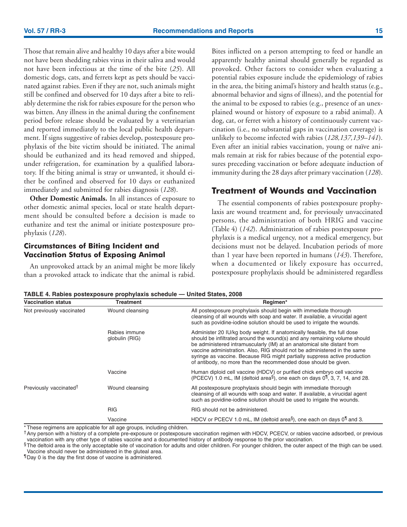Those that remain alive and healthy 10 days after a bite would not have been shedding rabies virus in their saliva and would not have been infectious at the time of the bite (*25*). All domestic dogs, cats, and ferrets kept as pets should be vaccinated against rabies. Even if they are not, such animals might still be confined and observed for 10 days after a bite to reliably determine the risk for rabies exposure for the person who was bitten. Any illness in the animal during the confinement period before release should be evaluated by a veterinarian and reported immediately to the local public health department. If signs suggestive of rabies develop, postexposure prophylaxis of the bite victim should be initiated. The animal should be euthanized and its head removed and shipped, under refrigeration, for examination by a qualified laboratory. If the biting animal is stray or unwanted, it should either be confined and observed for 10 days or euthanized immediately and submitted for rabies diagnosis (*128*).

**Other Domestic Animals.** In all instances of exposure to other domestic animal species, local or state health department should be consulted before a decision is made to euthanize and test the animal or initiate postexposure prophylaxis (*128*).

### **Circumstances of Biting Incident and Vaccination Status of Exposing Animal**

An unprovoked attack by an animal might be more likely than a provoked attack to indicate that the animal is rabid. Bites inflicted on a person attempting to feed or handle an apparently healthy animal should generally be regarded as provoked. Other factors to consider when evaluating a potential rabies exposure include the epidemiology of rabies in the area, the biting animal's history and health status (e.g., abnormal behavior and signs of illness), and the potential for the animal to be exposed to rabies (e.g., presence of an unexplained wound or history of exposure to a rabid animal). A dog, cat, or ferret with a history of continuously current vaccination (i.e., no substantial gaps in vaccination coverage) is unlikely to become infected with rabies (*128,137,139–141*). Even after an initial rabies vaccination, young or naïve animals remain at risk for rabies because of the potential exposures preceding vaccination or before adequate induction of immunity during the 28 days after primary vaccination (*128*).

# **Treatment of Wounds and Vaccination**

The essential components of rabies postexposure prophylaxis are wound treatment and, for previously unvaccinated persons, the administration of both HRIG and vaccine (Table 4) (*142*). Administration of rabies postexposure prophylaxis is a medical urgency, not a medical emergency, but decisions must not be delayed. Incubation periods of more than 1 year have been reported in humans (*143*). Therefore, when a documented or likely exposure has occurred, postexposure prophylaxis should be administered regardless

| <b>Vaccination status</b>          | <b>Treatment</b>                | Regimen*                                                                                                                                                                                                                                                                                                                                                                                                                                                      |
|------------------------------------|---------------------------------|---------------------------------------------------------------------------------------------------------------------------------------------------------------------------------------------------------------------------------------------------------------------------------------------------------------------------------------------------------------------------------------------------------------------------------------------------------------|
| Not previously vaccinated          | Wound cleansing                 | All postexposure prophylaxis should begin with immediate thorough<br>cleansing of all wounds with soap and water. If available, a virucidal agent<br>such as povidine-iodine solution should be used to irrigate the wounds.                                                                                                                                                                                                                                  |
|                                    | Rabies immune<br>globulin (RIG) | Administer 20 IU/kg body weight. If anatomically feasible, the full dose<br>should be infiltrated around the wound(s) and any remaining volume should<br>be administered intramuscularly (IM) at an anatomical site distant from<br>vaccine administration. Also, RIG should not be administered in the same<br>syringe as vaccine. Because RIG might partially suppress active production<br>of antibody, no more than the recommended dose should be given. |
|                                    | Vaccine                         | Human diploid cell vaccine (HDCV) or purified chick embryo cell vaccine<br>(PCECV) 1.0 mL, IM (deltoid area <sup>§</sup> ), one each on days 0 <sup>1</sup> , 3, 7, 14, and 28.                                                                                                                                                                                                                                                                               |
| Previously vaccinated <sup>†</sup> | Wound cleansing                 | All postexposure prophylaxis should begin with immediate thorough<br>cleansing of all wounds with soap and water. If available, a virucidal agent<br>such as povidine-iodine solution should be used to irrigate the wounds.                                                                                                                                                                                                                                  |
|                                    | <b>RIG</b>                      | RIG should not be administered.                                                                                                                                                                                                                                                                                                                                                                                                                               |
|                                    | Vaccine                         | HDCV or PCECV 1.0 mL, IM (deltoid area <sup>§</sup> ), one each on days $01$ and 3.                                                                                                                                                                                                                                                                                                                                                                           |

**TABLE 4. Rabies postexposure prophylaxis schedule — United States, 2008**

\* These regimens are applicable for all age groups, including children.

†Any person with a history of a complete pre-exposure or postexposure vaccination regimen with HDCV, PCECV, or rabies vaccine adsorbed, or previous vaccination with any other type of rabies vaccine and a documented history of antibody response to the prior vaccination.

§The deltoid area is the only acceptable site of vaccination for adults and older children. For younger children, the outer aspect of the thigh can be used. Vaccine should never be administered in the gluteal area.

¶Day 0 is the day the first dose of vaccine is administered.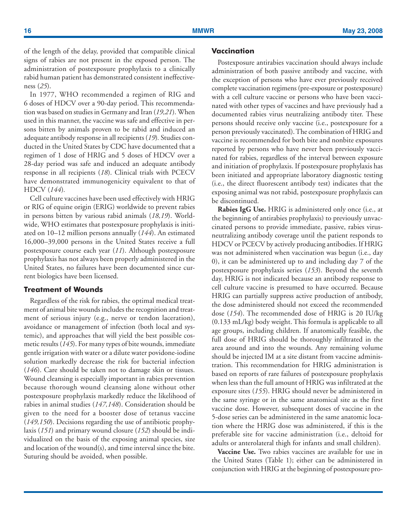of the length of the delay, provided that compatible clinical signs of rabies are not present in the exposed person. The administration of postexposure prophylaxis to a clinically rabid human patient has demonstrated consistent ineffectiveness (*25*).

In 1977, WHO recommended a regimen of RIG and 6 doses of HDCV over a 90-day period. This recommendation was based on studies in Germany and Iran (*19,21*). When used in this manner, the vaccine was safe and effective in persons bitten by animals proven to be rabid and induced an adequate antibody response in all recipients (*19*)*.* Studies conducted in the United States by CDC have documented that a regimen of 1 dose of HRIG and 5 doses of HDCV over a 28-day period was safe and induced an adequate antibody response in all recipients (*18*). Clinical trials with PCECV have demonstrated immunogenicity equivalent to that of HDCV (*144*)*.*

Cell culture vaccines have been used effectively with HRIG or RIG of equine origin (ERIG) worldwide to prevent rabies in persons bitten by various rabid animals (*18,19*). Worldwide, WHO estimates that postexposure prophylaxis is initiated on 10–12 million persons annually (*144*). An estimated 16,000–39,000 persons in the United States receive a full postexposure course each year (*11*). Although postexposure prophylaxis has not always been properly administered in the United States, no failures have been documented since current biologics have been licensed.

## **Treatment of Wounds**

Regardless of the risk for rabies, the optimal medical treatment of animal bite wounds includes the recognition and treatment of serious injury (e.g., nerve or tendon laceration), avoidance or management of infection (both local and systemic), and approaches that will yield the best possible cosmetic results (*145*). For many types of bite wounds, immediate gentle irrigation with water or a dilute water povidone-iodine solution markedly decrease the risk for bacterial infection (*146*). Care should be taken not to damage skin or tissues. Wound cleansing is especially important in rabies prevention because thorough wound cleansing alone without other postexposure prophylaxis markedly reduce the likelihood of rabies in animal studies (*147,148*). Consideration should be given to the need for a booster dose of tetanus vaccine (*149,150*). Decisions regarding the use of antibiotic prophylaxis (*151*) and primary wound closure (*152*) should be individualized on the basis of the exposing animal species, size and location of the wound(s), and time interval since the bite. Suturing should be avoided, when possible.

### **Vaccination**

Postexposure antirabies vaccination should always include administration of both passive antibody and vaccine, with the exception of persons who have ever previously received complete vaccination regimens (pre-exposure or postexposure) with a cell culture vaccine or persons who have been vaccinated with other types of vaccines and have previously had a documented rabies virus neutralizing antibody titer. These persons should receive only vaccine (i.e., postexposure for a person previously vaccinated). The combination of HRIG and vaccine is recommended for both bite and nonbite exposures reported by persons who have never been previously vaccinated for rabies, regardless of the interval between exposure and initiation of prophylaxis. If postexposure prophylaxis has been initiated and appropriate laboratory diagnostic testing (i.e., the direct fluorescent antibody test) indicates that the exposing animal was not rabid, postexposure prophylaxis can be discontinued.

**Rabies IgG Use.** HRIG is administered only once (i.e., at the beginning of antirabies prophylaxis) to previously unvaccinated persons to provide immediate, passive, rabies virusneutralizing antibody coverage until the patient responds to HDCV or PCECV by actively producing antibodies. If HRIG was not administered when vaccination was begun (i.e., day 0), it can be administered up to and including day 7 of the postexposure prophylaxis series (*153*). Beyond the seventh day, HRIG is not indicated because an antibody response to cell culture vaccine is presumed to have occurred. Because HRIG can partially suppress active production of antibody, the dose administered should not exceed the recommended dose (*154*). The recommended dose of HRIG is 20 IU/kg (0.133 mL/kg) body weight. This formula is applicable to all age groups, including children. If anatomically feasible, the full dose of HRIG should be thoroughly infiltrated in the area around and into the wounds. Any remaining volume should be injected IM at a site distant from vaccine administration. This recommendation for HRIG administration is based on reports of rare failures of postexposure prophylaxis when less than the full amount of HRIG was infiltrated at the exposure sites (*155*). HRIG should never be administered in the same syringe or in the same anatomical site as the first vaccine dose. However, subsequent doses of vaccine in the 5-dose series can be administered in the same anatomic location where the HRIG dose was administered, if this is the preferable site for vaccine administration (i.e., deltoid for adults or anterolateral thigh for infants and small children).

**Vaccine Use.** Two rabies vaccines are available for use in the United States (Table 1); either can be administered in conjunction with HRIG at the beginning of postexposure pro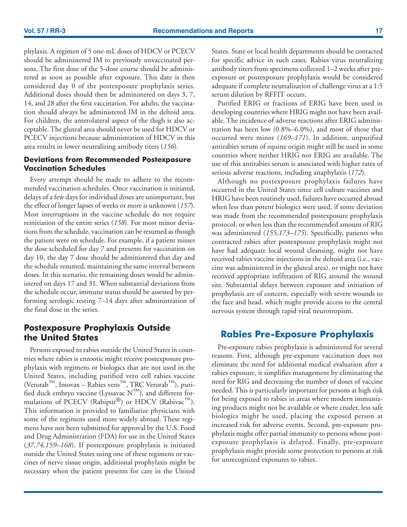phylaxis. A regimen of 5 one-mL doses of HDCV or PCECV should be administered IM to previously unvaccinated persons. The first dose of the 5-dose course should be administered as soon as possible after exposure. This date is then considered day 0 of the postexposure prophylaxis series. Additional doses should then be administered on days 3, 7, 14, and 28 after the first vaccination. For adults, the vaccination should always be administered IM in the deltoid area. For children, the anterolateral aspect of the thigh is also acceptable. The gluteal area should never be used for HDCV or PCECV injections because administration of HDCV in this area results in lower neutralizing antibody titers (*156*).

### **Deviations from Recommended Postexposure Vaccination Schedules**

Every attempt should be made to adhere to the recommended vaccination schedules. Once vaccination is initiated, delays of a few days for individual doses are unimportant, but the effect of longer lapses of weeks or more is unknown (*157*). Most interruptions in the vaccine schedule do not require reinitiation of the entire series (*158*). For most minor deviations from the schedule, vaccination can be resumed as though the patient were on schedule. For example, if a patient misses the dose scheduled for day 7 and presents for vaccination on day 10, the day 7 dose should be administered that day and the schedule resumed, maintaining the same interval between doses. In this scenario, the remaining doses would be administered on days 17 and 31. When substantial deviations from the schedule occur, immune status should be assessed by performing serologic testing 7–14 days after administration of the final dose in the series.

# **Postexposure Prophylaxis Outside the United States**

Persons exposed to rabies outside the United States in countries where rabies is enzootic might receive postexposure prophylaxis with regimens or biologics that are not used in the United States, including purified vero cell rabies vaccine (Verorab™, Imovax – Rabies vero™, TRC Verorab™), purified duck embryo vaccine (Lyssavac N™), and different formulations of PCECV (Rabipur®) or HDCV (Rabivac<sup>™)</sup>. This information is provided to familiarize physicians with some of the regimens used more widely abroad. These regimens have not been submitted for approval by the U.S. Food and Drug Administration (FDA) for use in the United States (*37,74,159–168*). If postexposure prophylaxis is initiated outside the United States using one of these regimens or vaccines of nerve tissue origin, additional prophylaxis might be necessary when the patient presents for care in the United States. State or local health departments should be contacted for specific advice in such cases. Rabies virus neutralizing antibody titers from specimens collected 1–2 weeks after preexposure or postexposure prophylaxis would be considered adequate if complete neutralization of challenge virus at a 1:5 serum dilution by RFFIT occurs.

Purified ERIG or fractions of ERIG have been used in developing countries where HRIG might not have been available. The incidence of adverse reactions after ERIG administration has been low (0.8%–6.0%), and most of those that occurred were minor (*169–171*). In addition, unpurified antirabies serum of equine origin might still be used in some countries where neither HRIG nor ERIG are available. The use of this antirabies serum is associated with higher rates of serious adverse reactions, including anaphylaxis (*172*).

Although no postexposure prophylaxis failures have occurred in the United States since cell culture vaccines and HRIG have been routinely used, failures have occurred abroad when less than potent biologics were used, if some deviation was made from the recommended postexposure prophylaxis protocol, or when less than the recommended amount of RIG was administered (*155,173–175*). Specifically, patients who contracted rabies after postexposure prophylaxis might not have had adequate local wound cleansing, might not have received rabies vaccine injections in the deltoid area (i.e., vaccine was administered in the gluteal area), or might not have received appropriate infiltration of RIG around the wound site. Substantial delays between exposure and initiation of prophylaxis are of concern, especially with severe wounds to the face and head, which might provide access to the central nervous system through rapid viral neurotropism.

## **Rabies Pre-Exposure Prophylaxis**

Pre-exposure rabies prophylaxis is administered for several reasons. First, although pre-exposure vaccination does not eliminate the need for additional medical evaluation after a rabies exposure, it simplifies management by eliminating the need for RIG and decreasing the number of doses of vaccine needed. This is particularly important for persons at high risk for being exposed to rabies in areas where modern immunizing products might not be available or where cruder, less safe biologics might be used, placing the exposed person at increased risk for adverse events. Second, pre-exposure prophylaxis might offer partial immunity to persons whose postexposure prophylaxis is delayed. Finally, pre-exposure prophylaxis might provide some protection to persons at risk for unrecognized exposures to rabies.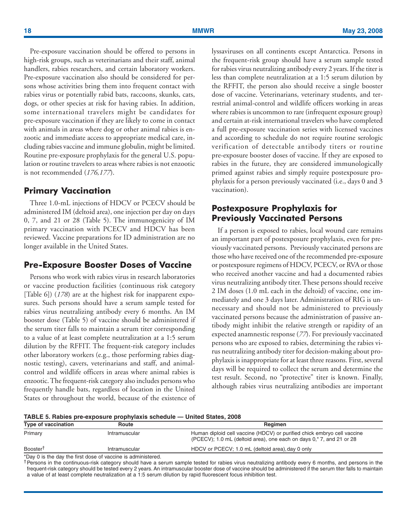Pre-exposure vaccination should be offered to persons in high-risk groups, such as veterinarians and their staff, animal handlers, rabies researchers, and certain laboratory workers. Pre-exposure vaccination also should be considered for persons whose activities bring them into frequent contact with rabies virus or potentially rabid bats, raccoons, skunks, cats, dogs, or other species at risk for having rabies. In addition, some international travelers might be candidates for pre-exposure vaccination if they are likely to come in contact with animals in areas where dog or other animal rabies is enzootic and immediate access to appropriate medical care, including rabies vaccine and immune globulin, might be limited. Routine pre-exposure prophylaxis for the general U.S. population or routine travelers to areas where rabies is not enzootic is not recommended (*176,177*).

# **Primary Vaccination**

Three 1.0-mL injections of HDCV or PCECV should be administered IM (deltoid area), one injection per day on days 0, 7, and 21 or 28 (Table 5). The immunogenicity of IM primary vaccination with PCECV and HDCV has been reviewed. Vaccine preparations for ID administration are no longer available in the United States.

## **Pre-Exposure Booster Doses of Vaccine**

Persons who work with rabies virus in research laboratories or vaccine production facilities (continuous risk category [Table 6]) (*178*) are at the highest risk for inapparent exposures. Such persons should have a serum sample tested for rabies virus neutralizing antibody every 6 months. An IM booster dose (Table 5) of vaccine should be administered if the serum titer falls to maintain a serum titer corresponding to a value of at least complete neutralization at a 1:5 serum dilution by the RFFIT. The frequent-risk category includes other laboratory workers (e.g., those performing rabies diagnostic testing), cavers, veterinarians and staff, and animalcontrol and wildlife officers in areas where animal rabies is enzootic. The frequent-risk category also includes persons who frequently handle bats, regardless of location in the United States or throughout the world, because of the existence of

lyssaviruses on all continents except Antarctica. Persons in the frequent-risk group should have a serum sample tested for rabies virus neutralizing antibody every 2 years. If the titer is less than complete neutralization at a 1:5 serum dilution by the RFFIT, the person also should receive a single booster dose of vaccine. Veterinarians, veterinary students, and terrestrial animal-control and wildlife officers working in areas where rabies is uncommon to rare (infrequent exposure group) and certain at-risk international travelers who have completed a full pre-exposure vaccination series with licensed vaccines and according to schedule do not require routine serologic verification of detectable antibody titers or routine pre-exposure booster doses of vaccine. If they are exposed to rabies in the future, they are considered immunologically primed against rabies and simply require postexposure prophylaxis for a person previously vaccinated (i.e., days 0 and 3 vaccination).

# **Postexposure Prophylaxis for Previously Vaccinated Persons**

If a person is exposed to rabies, local wound care remains an important part of postexposure prophylaxis, even for previously vaccinated persons. Previously vaccinated persons are those who have received one of the recommended pre-exposure or postexposure regimens of HDCV, PCECV, or RVA or those who received another vaccine and had a documented rabies virus neutralizing antibody titer. These persons should receive 2 IM doses (1.0 mL each in the deltoid) of vaccine, one immediately and one 3 days later. Administration of RIG is unnecessary and should not be administered to previously vaccinated persons because the administration of passive antibody might inhibit the relative strength or rapidity of an expected anamnestic response (*77*). For previously vaccinated persons who are exposed to rabies, determining the rabies virus neutralizing antibody titer for decision-making about prophylaxis is inappropriate for at least three reasons. First, several days will be required to collect the serum and determine the test result. Second, no "protective" titer is known. Finally, although rabies virus neutralizing antibodies are important

**TABLE 5. Rabies pre-exposure prophylaxis schedule — United States, 2008**

| Type of vaccination                                            | Route         | Reaimen                                                                                                                                        |  |  |
|----------------------------------------------------------------|---------------|------------------------------------------------------------------------------------------------------------------------------------------------|--|--|
| Primary<br>Intramuscular                                       |               | Human diploid cell vaccine (HDCV) or purified chick embryo cell vaccine<br>(PCECV); 1.0 mL (deltoid area), one each on days 0,*7, and 21 or 28 |  |  |
| Booster <sup>†</sup>                                           | Intramuscular | HDCV or PCECV; 1.0 mL (deltoid area), day 0 only                                                                                               |  |  |
| $*$ Day 0 is the day the first dose of vaccine is administered |               |                                                                                                                                                |  |  |

 $\prime$  the first dose of vaccine is administered.

†Persons in the continuous-risk category should have a serum sample tested for rabies virus neutralizing antibody every 6 months, and persons in the frequent-risk category should be tested every 2 years. An intramuscular booster dose of vaccine should be administered if the serum titer falls to maintain a value of at least complete neutralization at a 1:5 serum dilution by rapid fluorescent focus inhibition test.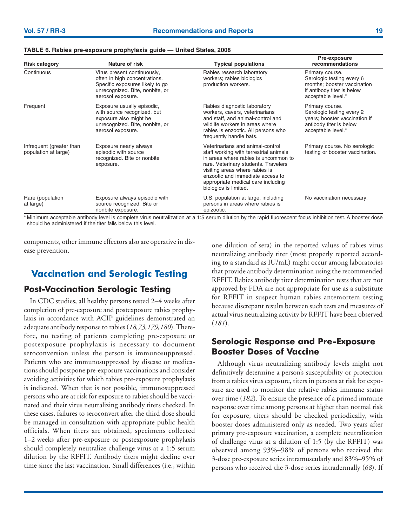| <b>Risk category</b>                             | Nature of risk                                                                                                                                          | <b>Typical populations</b>                                                                                                                                                                                                                                                                      | Pre-exposure<br>recommendations                                                                                                 |
|--------------------------------------------------|---------------------------------------------------------------------------------------------------------------------------------------------------------|-------------------------------------------------------------------------------------------------------------------------------------------------------------------------------------------------------------------------------------------------------------------------------------------------|---------------------------------------------------------------------------------------------------------------------------------|
| Continuous                                       | Virus present continuously,<br>often in high concentrations.<br>Specific exposures likely to go<br>unrecognized. Bite, nonbite, or<br>aerosol exposure. | Rabies research laboratory<br>workers; rabies biologics<br>production workers.                                                                                                                                                                                                                  | Primary course.<br>Serologic testing every 6<br>months; booster vaccination<br>if antibody titer is below<br>acceptable level.* |
| Frequent                                         | Exposure usually episodic,<br>with source recognized, but<br>exposure also might be<br>unrecognized. Bite, nonbite, or<br>aerosol exposure.             | Rabies diagnostic laboratory<br>workers, cavers, veterinarians<br>and staff, and animal-control and<br>wildlife workers in areas where<br>rabies is enzootic. All persons who<br>frequently handle bats.                                                                                        | Primary course.<br>Serologic testing every 2<br>years; booster vaccination if<br>antibody titer is below<br>acceptable level.*  |
| Infrequent (greater than<br>population at large) | Exposure nearly always<br>episodic with source<br>recognized. Bite or nonbite<br>exposure.                                                              | Veterinarians and animal-control<br>staff working with terrestrial animals<br>in areas where rabies is uncommon to<br>rare. Veterinary students. Travelers<br>visiting areas where rabies is<br>enzootic and immediate access to<br>appropriate medical care including<br>biologics is limited. | Primary course. No serologic<br>testing or booster vaccination.                                                                 |
| Rare (population<br>at large)                    | Exposure always episodic with<br>source recognized. Bite or<br>nonbite exposure.                                                                        | U.S. population at large, including<br>persons in areas where rabies is<br>epizootic.                                                                                                                                                                                                           | No vaccination necessary.                                                                                                       |

#### **TABLE 6. Rabies pre-exposure prophylaxis guide — United States, 2008**

\* Minimum acceptable antibody level is complete virus neutralization at a 1:5 serum dilution by the rapid fluorescent focus inhibition test. A booster dose should be administered if the titer falls below this level.

components, other immune effectors also are operative in disease prevention.

# **Vaccination and Serologic Testing**

# **Post-Vaccination Serologic Testing**

In CDC studies, all healthy persons tested 2–4 weeks after completion of pre-exposure and postexposure rabies prophylaxis in accordance with ACIP guidelines demonstrated an adequate antibody response to rabies (*18,73,179,180*). Therefore, no testing of patients completing pre-exposure or postexposure prophylaxis is necessary to document seroconversion unless the person is immunosuppressed. Patients who are immunosuppressed by disease or medications should postpone pre-exposure vaccinations and consider avoiding activities for which rabies pre-exposure prophylaxis is indicated. When that is not possible, immunosuppressed persons who are at risk for exposure to rabies should be vaccinated and their virus neutralizing antibody titers checked. In these cases, failures to seroconvert after the third dose should be managed in consultation with appropriate public health officials. When titers are obtained, specimens collected 1–2 weeks after pre-exposure or postexposure prophylaxis should completely neutralize challenge virus at a 1:5 serum dilution by the RFFIT. Antibody titers might decline over time since the last vaccination. Small differences (i.e., within one dilution of sera) in the reported values of rabies virus neutralizing antibody titer (most properly reported according to a standard as IU/mL) might occur among laboratories that provide antibody determination using the recommended RFFIT. Rabies antibody titer determination tests that are not approved by FDA are not appropriate for use as a substitute for RFFIT in suspect human rabies antemortem testing because discrepant results between such tests and measures of actual virus neutralizing activity by RFFIT have been observed (*181*).

# **Serologic Response and Pre-Exposure Booster Doses of Vaccine**

Although virus neutralizing antibody levels might not definitively determine a person's susceptibility or protection from a rabies virus exposure, titers in persons at risk for exposure are used to monitor the relative rabies immune status over time (*182*). To ensure the presence of a primed immune response over time among persons at higher than normal risk for exposure, titers should be checked periodically, with booster doses administered only as needed. Two years after primary pre-exposure vaccination, a complete neutralization of challenge virus at a dilution of 1:5 (by the RFFIT) was observed among 93%–98% of persons who received the 3-dose pre-exposure series intramuscularly and 83%–95% of persons who received the 3-dose series intradermally (*68*). If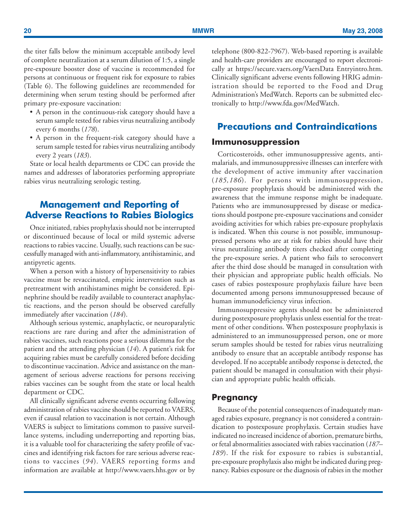the titer falls below the minimum acceptable antibody level of complete neutralization at a serum dilution of 1:5, a single pre-exposure booster dose of vaccine is recommended for persons at continuous or frequent risk for exposure to rabies (Table 6). The following guidelines are recommended for determining when serum testing should be performed after primary pre-exposure vaccination:

- A person in the continuous-risk category should have a serum sample tested for rabies virus neutralizing antibody every 6 months (*178*).
- A person in the frequent-risk category should have a serum sample tested for rabies virus neutralizing antibody every 2 years (*183*).

State or local health departments or CDC can provide the names and addresses of laboratories performing appropriate rabies virus neutralizing serologic testing.

# **Management and Reporting of Adverse Reactions to Rabies Biologics**

Once initiated, rabies prophylaxis should not be interrupted or discontinued because of local or mild systemic adverse reactions to rabies vaccine. Usually, such reactions can be successfully managed with anti-inflammatory, antihistaminic, and antipyretic agents.

When a person with a history of hypersensitivity to rabies vaccine must be revaccinated, empiric intervention such as pretreatment with antihistamines might be considered. Epinephrine should be readily available to counteract anaphylactic reactions, and the person should be observed carefully immediately after vaccination (*184*).

Although serious systemic, anaphylactic, or neuroparalytic reactions are rare during and after the administration of rabies vaccines, such reactions pose a serious dilemma for the patient and the attending physician (*14*). A patient's risk for acquiring rabies must be carefully considered before deciding to discontinue vaccination. Advice and assistance on the management of serious adverse reactions for persons receiving rabies vaccines can be sought from the state or local health department or CDC.

All clinically significant adverse events occurring following administration of rabies vaccine should be reported to VAERS, even if causal relation to vaccination is not certain. Although VAERS is subject to limitations common to passive surveillance systems, including underreporting and reporting bias, it is a valuable tool for characterizing the safety profile of vaccines and identifying risk factors for rare serious adverse reactions to vaccines (*94*). VAERS reporting forms and information are available at <http://www.vaers.hhs.gov>or by telephone (800-822-7967). Web-based reporting is available and health-care providers are encouraged to report electronically at [https://secure.vaers.org/VaersData Entryintro.htm.](https://secure.vaers.org/VaersDataEntryintro.htm) Clinically significant adverse events following HRIG administration should be reported to the Food and Drug Administration's MedWatch. Reports can be submitted electronically to [http://www.fda.gov/MedWatch.](http://www.fda.gov/MedWatch)

# **Precautions and Contraindications**

### **Immunosuppression**

Corticosteroids, other immunosuppressive agents, antimalarials, and immunosuppressive illnesses can interfere with the development of active immunity after vaccination (*185,186*). For persons with immunosuppression, pre-exposure prophylaxis should be administered with the awareness that the immune response might be inadequate. Patients who are immunosuppressed by disease or medications should postpone pre-exposure vaccinations and consider avoiding activities for which rabies pre-exposure prophylaxis is indicated. When this course is not possible, immunosuppressed persons who are at risk for rabies should have their virus neutralizing antibody titers checked after completing the pre-exposure series. A patient who fails to seroconvert after the third dose should be managed in consultation with their physician and appropriate public health officials. No cases of rabies postexposure prophylaxis failure have been documented among persons immunosuppressed because of human immunodeficiency virus infection.

Immunosuppressive agents should not be administered during postexposure prophylaxis unless essential for the treatment of other conditions. When postexposure prophylaxis is administered to an immunosuppressed person, one or more serum samples should be tested for rabies virus neutralizing antibody to ensure that an acceptable antibody response has developed. If no acceptable antibody response is detected, the patient should be managed in consultation with their physician and appropriate public health officials.

## **Pregnancy**

Because of the potential consequences of inadequately managed rabies exposure, pregnancy is not considered a contraindication to postexposure prophylaxis. Certain studies have indicated no increased incidence of abortion, premature births, or fetal abnormalities associated with rabies vaccination (*187– 189*). If the risk for exposure to rabies is substantial, pre-exposure prophylaxis also might be indicated during pregnancy. Rabies exposure or the diagnosis of rabies in the mother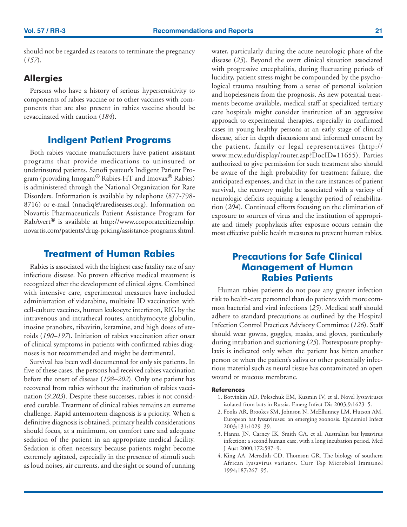should not be regarded as reasons to terminate the pregnancy (*157*).

# **Allergies**

Persons who have a history of serious hypersensitivity to components of rabies vaccine or to other vaccines with components that are also present in rabies vaccine should be revaccinated with caution (*184*).

# **Indigent Patient Programs**

Both rabies vaccine manufacturers have patient assistant programs that provide medications to uninsured or underinsured patients. Sanofi pasteur's Indigent Patient Program (providing Imogam® Rabies-HT and Imovax® Rabies) is administered through the National Organization for Rare Disorders. Information is available by telephone (877-798- 8716) or e-mail (nnadiq@rarediseases.org). Information on Novartis Pharmaceuticals Patient Assistance Program for RabAvert® is available at [http://www.corporatecitizenship.](http://www.corporatecitizenship.novartis.com/patients/drug-pricing/assistance-programs.shtml) [novartis.com/patients/drug-pricing/assistance-programs.shtml.](http://www.corporatecitizenship.novartis.com/patients/drug-pricing/assistance-programs.shtml)

# **Treatment of Human Rabies**

Rabies is associated with the highest case fatality rate of any infectious disease. No proven effective medical treatment is recognized after the development of clinical signs. Combined with intensive care, experimental measures have included administration of vidarabine, multisite ID vaccination with cell-culture vaccines, human leukocyte interferon, RIG by the intravenous and intrathecal routes, antithymocyte globulin, inosine pranobex, ribavirin, ketamine, and high doses of steroids (*190–197*). Initiation of rabies vaccination after onset of clinical symptoms in patients with confirmed rabies diagnoses is not recommended and might be detrimental.

Survival has been well documented for only six patients. In five of these cases, the persons had received rabies vaccination before the onset of disease (*198–202*). Only one patient has recovered from rabies without the institution of rabies vaccination (*9,203*). Despite these successes, rabies is not considered curable. Treatment of clinical rabies remains an extreme challenge. Rapid antemortem diagnosis is a priority. When a definitive diagnosis is obtained, primary health considerations should focus, at a minimum, on comfort care and adequate sedation of the patient in an appropriate medical facility. Sedation is often necessary because patients might become extremely agitated, especially in the presence of stimuli such as loud noises, air currents, and the sight or sound of running water, particularly during the acute neurologic phase of the disease (*25*). Beyond the overt clinical situation associated with progressive encephalitis, during fluctuating periods of lucidity, patient stress might be compounded by the psychological trauma resulting from a sense of personal isolation and hopelessness from the prognosis. As new potential treatments become available, medical staff at specialized tertiary care hospitals might consider institution of an aggressive approach to experimental therapies, especially in confirmed cases in young healthy persons at an early stage of clinical disease, after in depth discussions and informed consent by the patient, family or legal representatives [\(http://](http://www.mcw.edu/display/router.asp?DocID=11655) [www.mcw.edu/display/router.asp?DocID=11655\).](http://www.mcw.edu/display/router.asp?DocID=11655) Parties authorized to give permission for such treatment also should be aware of the high probability for treatment failure, the anticipated expenses, and that in the rare instances of patient survival, the recovery might be associated with a variety of neurologic deficits requiring a lengthy period of rehabilitation (*204*). Continued efforts focusing on the elimination of exposure to sources of virus and the institution of appropriate and timely prophylaxis after exposure occurs remain the most effective public health measures to prevent human rabies.

# **Precautions for Safe Clinical Management of Human Rabies Patients**

Human rabies patients do not pose any greater infection risk to health-care personnel than do patients with more common bacterial and viral infections (*25*). Medical staff should adhere to standard precautions as outlined by the Hospital Infection Control Practices Advisory Committee (*126*). Staff should wear gowns, goggles, masks, and gloves, particularly during intubation and suctioning (*25*). Postexposure prophylaxis is indicated only when the patient has bitten another person or when the patient's saliva or other potentially infectious material such as neural tissue has contaminated an open wound or mucous membrane.

#### **References**

- 1. Botvinkin AD, Poleschuk EM, Kuzmin IV, et al. Novel lyssaviruses isolated from bats in Russia. Emerg Infect Dis 2003;9:1623–5.
- 2. Fooks AR, Brookes SM, Johnson N, McElhinney LM, Hutson AM. European bat lyssaviruses: an emerging zoonosis. Epidemiol Infect 2003;131:1029–39.
- 3. Hanna JN, Carney IK, Smith GA, et al. Australian bat lyssavirus infection: a second human case, with a long incubation period. Med J Aust 2000;172:597–9.
- 4. King AA, Meredith CD, Thomson GR. The biology of southern African lyssavirus variants. Curr Top Microbiol Immunol 1994;187:267–95.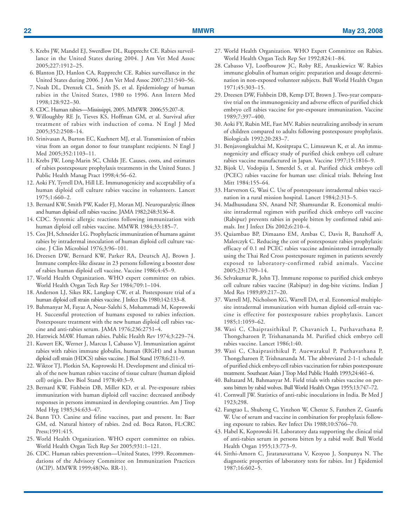- 5. Krebs JW, Mandel EJ, Swerdlow DL, Rupprecht CE. Rabies surveillance in the United States during 2004. J Am Vet Med Assoc 2005;227:1912–25.
- 6. Blanton JD, Hanlon CA, Rupprecht CE. Rabies surveillance in the United States during 2006. J Am Vet Med Assoc 2007;231:540–56.
- 7. Noah DL, Drenzek CL, Smith JS, et al. Epidemiology of human rabies in the United States, 1980 to 1996. Ann Intern Med 1998;128:922–30.
- 8. CDC. Human rabies**—**Mississippi, 2005. MMWR 2006;55:207–8.
- 9. Willoughby RE Jr, Tieves KS, Hoffman GM, et al. Survival after treatment of rabies with induction of coma. N Engl J Med 2005;352:2508–14.
- 10. Srinivasan A, Burton EC, Kuehnert MJ, et al. Transmission of rabies virus from an organ donor to four transplant recipients. N Engl J Med 2005;352:1103–11.
- 11. Krebs JW, Long-Marin SC, Childs JE. Causes, costs, and estimates of rabies postexposure prophylaxis treatments in the United States. J Public Health Manag Pract 1998;4:56–62.
- 12. Aoki FY, Tyrrell DA, Hill LE. Immunogenicity and acceptability of a human diploid cell culture rabies vaccine in volunteers. Lancet 1975;1:660–2.
- 13. Bernard KW, Smith PW, Kader FJ, Moran MJ. Neuroparalytic illness and human diploid cell rabies vaccine. JAMA 1982;248:3136–8.
- 14. CDC. Systemic allergic reactions following immunization with human diploid cell rabies vaccine. MMWR 1984;33:185–7.
- 15. Cox JH, Schneider LG. Prophylactic immunization of humans against rabies by intradermal inoculation of human diploid cell culture vaccine. J Clin Microbiol 1976;3:96–101.
- 16. Dreesen DW, Bernard KW, Parker RA, Deutsch AJ, Brown J. Immune complex-like disease in 23 persons following a booster dose of rabies human diploid cell vaccine. Vaccine 1986;4:45–9.
- 17. World Health Organization. WHO expert committee on rabies. World Health Organ Tech Rep Ser 1984;709:1–104.
- 18. Anderson LJ, Sikes RK, Langkop CW, et al. Postexposure trial of a human diploid cell strain rabies vaccine. J Infect Dis 1980;142:133–8.
- 19. Bahmanyar M, Fayaz A, Nour-Salehi S, Mohammadi M, Koprowski H. Successful protection of humans exposed to rabies infection. Postexposure treatment with the new human diploid cell rabies vaccine and anti-rabies serum. JAMA 1976;236:2751–4.
- 20. Hattwick MAW. Human rabies. Public Health Rev 1974;3:229–74.
- 21. Kuwert EK, Werner J, Marcus I, Cabasso VJ. Immunization against rabies with rabies immune globulin, human (RIGH) and a human diploid cell strain (HDCS) rabies vaccine. J Biol Stand 1978;6:211–9.
- 22. Wiktor TJ, Plotkin SA, Koprowski H. Development and clinical trials of the new human rabies vaccine of tissue culture (human diploid cell) origin. Dev Biol Stand 1978;40:3–9.
- 23. Bernard KW, Fishbein DB, Miller KD, et al. Pre-exposure rabies immunization with human diploid cell vaccine: decreased antibody responses in persons immunized in developing countries. Am J Trop Med Hyg 1985;34:633–47.
- 24. Bunn TO. Canine and feline vaccines, past and present. In: Baer GM, ed. Natural history of rabies. 2nd ed. Boca Raton, FL:CRC Press;1991:415.
- 25. World Health Organization. WHO expert committee on rabies. World Health Organ Tech Rep Ser 2005;931:1–121.
- 26. CDC. Human rabies prevention**—**United States, 1999. Recommendations of the Advisory Committee on Immunization Practices (ACIP). MMWR 1999;48(No. RR-1).
- 27. World Health Organization. WHO Expert Committee on Rabies. World Health Organ Tech Rep Ser 1992;824:1–84.
- 28. Cabasso VJ, Loofbourow JC, Roby RE, Anuskiewicz W. Rabies immune globulin of human origin: preparation and dosage determination in non-exposed volunteer subjects. Bull World Health Organ 1971;45:303–15.
- 29. Dreesen DW, Fishbein DB, Kemp DT, Brown J. Two-year comparative trial on the immunogenicity and adverse effects of purified chick embryo cell rabies vaccine for pre-exposure immunization. Vaccine 1989;7:397–400.
- 30. Aoki FY, Rubin ME, Fast MV. Rabies neutralizing antibody in serum of children compared to adults following postexposure prophylaxis. Biologicals 1992;20:283–7.
- 31. Benjavongkulchai M, Kositprapa C, Limsuwun K, et al. An immunogenicity and efficacy study of purified chick embryo cell culture rabies vaccine manufactured in Japan. Vaccine 1997;15:1816–9.
- 32. Bijok U, Vodopija I, Smerdel S, et al. Purified chick embryo cell (PCEC) rabies vaccine for human use: clinical trials. Behring Inst Mitt 1984:155–64.
- 33. Harverson G, Wasi C. Use of postexposure intradermal rabies vaccination in a rural mission hospital. Lancet 1984;2:313–5.
- 34. Madhusudana SN, Anand NP, Shamsundar R. Economical multisite intradermal regimen with purified chick embryo cell vaccine (Rabipur) prevents rabies in people bitten by confirmed rabid animals. Int J Infect Dis 2002;6:210–4.
- 35. Quiambao BP, Dimaano EM, Ambas C, Davis R, Banzhoff A, Malerczyk C. Reducing the cost of postexposure rabies prophylaxis: efficacy of 0.1 ml PCEC rabies vaccine administered intradermally using the Thai Red Cross postexposure regimen in patients severely exposed to laboratory-confirmed rabid animals. Vaccine 2005;23:1709–14.
- 36. Selvakumar R, John TJ. Immune response to purified chick embryo cell culture rabies vaccine (Rabipur) in dog-bite victims. Indian J Med Res 1989;89:217–20.
- 37. Warrell MJ, Nicholson KG, Warrell DA, et al. Economical multiplesite intradermal immunization with human diploid cell-strain vaccine is effective for postexposure rabies prophylaxis. Lancet 1985;1:1059–62.
- 38. Wasi C, Chaiprasithikul P, Chavanich L, Puthavathana P, Thongcharoen P, Trishanananda M. Purified chick embryo cell rabies vaccine. Lancet 1986;1:40.
- 39. Wasi C, Chaiprasithikul P, Auewarakul P, Puthavathana P, Thongcharoen P, Trishnananda M. The abbreviated 2-1-1 schedule of purified chick embryo cell rabies vaccination for rabies postexposure treatment. Southeast Asian J Trop Med Public Health 1993;24:461–6.
- 40. Baltazard M, Bahmanyar M. Field trials with rabies vaccine on persons bitten by rabid wolves. Bull World Health Organ 1955;13:747–72.
- 41. Cornwall JW. Statistics of anti-rabic inoculations in India. Br Med J 1923;298.
- 42. Fangtao L, Shubeng C, Yinzhon W, Chenze S, Fanzhen Z, Guanfu W. Use of serum and vaccine in combination for prophylaxis following exposure to rabies. Rev Infect Dis 1988;10:S766–70.
- 43. Habel K, Koprowski H. Laboratory data supporting the clinical trial of anti-rabies serum in persons bitten by a rabid wolf. Bull World Health Organ 1955;13:773–9.
- 44. Sitthi-Amorn C, Jiratanavattana V, Keoyoo J, Sonpunya N. The diagnostic properties of laboratory tests for rabies. Int J Epidemiol 1987;16:602–5.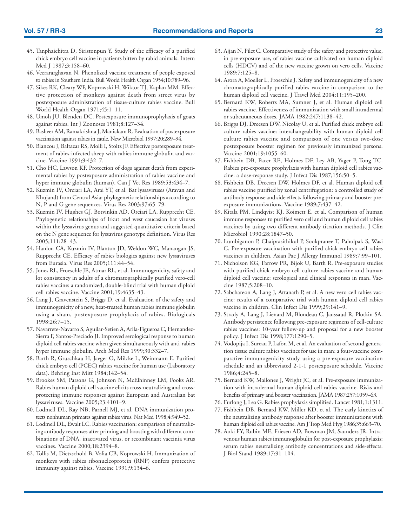- 45. Tanphaichitra D, Siristonpun Y. Study of the efficacy of a purified chick embryo cell vaccine in patients bitten by rabid animals. Intern Med J 1987;3:158–60.
- 46. Veerararghavan N. Phenolized vaccine treatment of people exposed to rabies in Southern India. Bull World Health Organ 1954;10:789–96.
- 47. Sikes RK, Cleary WF, Koprowski H, Wiktor TJ, Kaplan MM. Effective protection of monkeys against death from street virus by postexposure administration of tissue-culture rabies vaccine. Bull World Health Organ 1971;45:1–11.
- 48. Umoh JU, Blenden DC. Postexposure immunoprophylaxis of goats against rabies. Int J Zoonoses 1981;8:127–34.
- 49. Basheer AM, Ramakrishna J, Manickam R. Evaluation of postexposure vaccination against rabies in cattle. New Microbiol 1997;20:289–94.
- 50. Blancou J, Baltazar RS, Molli I, Stoltz JF. Effective postexposure treatment of rabies-infected sheep with rabies immune globulin and vaccine. Vaccine 1991;9:432–7.
- 51. Cho HC, Lawson KF. Protection of dogs against death from experimental rabies by postexposure administration of rabies vaccine and hyper immune globulin (human). Can J Vet Res 1989;53:434–7.
- 52. Kuzmin IV, Orciari LA, Arai YT, et al. Bat lyssaviruses (Aravan and Khujand) from Central Asia: phylogenetic relationships according to N, P and G gene sequences. Virus Res 2003;97:65–79.
- 53. Kuzmin IV, Hughes GJ, Botvinkin AD, Orciari LA, Rupprecht CE. Phylogenetic relationships of Irkut and west caucasian bat viruses within the lyssavirus genus and suggested quantitative criteria based on the N gene sequence for lyssavirus genotype definition. Virus Res 2005;111:28–43.
- 54. Hanlon CA, Kuzmin IV, Blanton JD, Weldon WC, Manangan JS, Rupprecht CE. Efficacy of rabies biologics against new lyssaviruses from Eurasia. Virus Res 2005;111:44–54.
- 55. Jones RL, Froeschle JE, Atmar RL, et al. Immunogenicity, safety and lot consistency in adults of a chromatographically purified vero-cell rabies vaccine: a randomized, double-blind trial with human diploid cell rabies vaccine. Vaccine 2001;19:4635–43.
- 56. Lang J, Gravenstein S, Briggs D, et al. Evaluation of the safety and immunogenicity of a new, heat-treated human rabies immune globulin using a sham, postexposure prophylaxis of rabies. Biologicals 1998;26:7–15.
- 57. Navarrete-Navarro S, Aguilar-Setien A, Arila-Figueroa C, Hernandez-Sierra F, Santos-Preciado JI. Improved serological response to human diploid cell rabies vaccine when given simultaneously with anti-rabies hyper immune globulin. Arch Med Res 1999;30:332–7.
- 58. Barth R, Gruschkau H, Jaeger O, Milcke L, Weinmann E. Purified chick embryo cell (PCEC) rabies vaccine for human use (Laboratory data). Behring Inst Mitt 1984;142–54.
- 59. Brookes SM, Parsons G, Johnson N, McElhinney LM, Fooks AR. Rabies human diploid cell vaccine elicits cross-neutralizing and crossprotecting immune responses against European and Australian bat lyssaviruses. Vaccine 2005;23:4101–9.
- 60. Lodmell DL, Ray NB, Parnell MJ, et al. DNA immunization protects nonhuman primates against rabies virus. Nat Med 1998;4:949–52.
- 61. Lodmell DL, Ewalt LC. Rabies vaccination: comparison of neutralizing antibody responses after priming and boosting with different combinations of DNA, inactivated virus, or recombinant vaccinia virus vaccines. Vaccine 2000;18:2394–8.
- 62. Tollis M, Dietzschold B, Volia CB, Koprowski H. Immunization of monkeys with rabies ribonucleoprotein (RNP) confers protective immunity against rabies. Vaccine 1991;9:134–6.
- 63. Ajjan N, Pilet C. Comparative study of the safety and protective value, in pre-exposure use, of rabies vaccine cultivated on human diploid cells (HDCV) and of the new vaccine grown on vero cells. Vaccine 1989;7:125–8.
- 64. Arora A, Moeller L, Froeschle J. Safety and immunogenicity of a new chromatographically purified rabies vaccine in comparison to the human diploid cell vaccine. J Travel Med 2004;11:195–200.
- 65. Bernard KW, Roberts MA, Sumner J, et al. Human diploid cell rabies vaccine. Effectiveness of immunization with small intradermal or subcutaneous doses. JAMA 1982;247:1138–42.
- 66. Briggs DJ, Dreesen DW, Nicolay U, et al. Purified chick embryo cell culture rabies vaccine: interchangeability with human diploid cell culture rabies vaccine and comparison of one versus two-dose postexposure booster regimen for previously immunized persons. Vaccine 2001;19:1055–60.
- 67. Fishbein DB, Pacer RE, Holmes DF, Ley AB, Yager P, Tong TC. Rabies pre-exposure prophylaxis with human diploid cell rabies vaccine: a dose-response study. J Infect Dis 1987;156:50–5.
- 68. Fishbein DB, Dreesen DW, Holmes DF, et al. Human diploid cell rabies vaccine purified by zonal centrifugation: a controlled study of antibody response and side effects following primary and booster preexposure immunizations. Vaccine 1989;7:437–42.
- 69. Kitala PM, Lindqvist KJ, Koimett E, et al. Comparison of human immune responses to purified vero cell and human diploid cell rabies vaccines by using two different antibody titration methods. J Clin Microbiol 1990;28:1847–50.
- 70. Lumbiganon P, Chaiprasithikul P, Sookpranee T, Paholpak S, Wasi C. Pre-exposure vaccination with purified chick embryo cell rabies vaccines in children. Asian Pac J Allergy Immunol 1989;7:99–101.
- 71. Nicholson KG, Farrow PR, Bijok U, Barth R. Pre-exposure studies with purified chick embryo cell culture rabies vaccine and human diploid cell vaccine: serological and clinical responses in man. Vaccine 1987;5:208–10.
- 72. Sabchareon A, Lang J, Attanath P, et al. A new vero cell rabies vaccine: results of a comparative trial with human diploid cell rabies vaccine in children. Clin Infect Dis 1999;29:141–9.
- 73. Strady A, Lang J, Lienard M, Blondeau C, Jaussaud R, Plotkin SA. Antibody persistence following pre-exposure regimens of cell-culture rabies vaccines: 10-year follow-up and proposal for a new booster policy. J Infect Dis 1998;177:1290–5.
- 74. Vodopija I, Sureau P, Lafon M, et al. An evaluation of second generation tissue culture rabies vaccines for use in man: a four-vaccine comparative immunogenicity study using a pre-exposure vaccination schedule and an abbreviated 2-1-1 postexposure schedule. Vaccine 1986;4:245–8.
- 75. Bernard KW, Mallonee J, Wright JC, et al. Pre-exposure immunization with intradermal human diploid cell rabies vaccine. Risks and benefits of primary and booster vaccination. JAMA 1987;257:1059–63.
- 76. Furlong J, Lea G. Rabies prophylaxis simplified. Lancet 1981;1:1311.
- 77. Fishbein DB, Bernard KW, Miller KD, et al. The early kinetics of the neutralizing antibody response after booster immunizations with human diploid cell rabies vaccine. Am J Trop Med Hyg 1986;35:663-70.
- 78. Aoki FY, Rubin ME, Friesen AD, Bowman JM, Saunders JR. Intravenous human rabies immunoglobulin for post-exposure prophylaxis: serum rabies neutralizing antibody concentrations and side-effects. J Biol Stand 1989;17:91–104.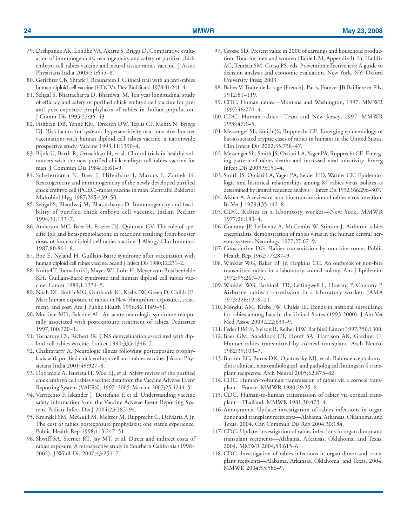- 79. Deshpande AK, Londhe VA, Akarte S, Briggs D. Comparative evaluation of immunogenicity, reactogenicity and safety of purified chick embryo cell rabies vaccine and neural tissue rabies vaccine. J Assoc Physicians India 2003;51:655–8.
- 80. Gerichter CB, Shtark J, Braunstein I. Clinical trail with an anti-rabies human diploid cell vaccine (HDCV). Dev Biol Stand 1978;41:241–4.
- 81. Sehgal S, Bhattacharya D, Bhardwaj M. Ten year longitudinal study of efficacy and safety of purified chick embryo cell vaccine for preand post-exposure prophylaxis of rabies in Indian population. J Comm Dis 1995;27:36–43.
- 82. Fishbein DB, Yenne KM, Dreesen DW, Teplis CF, Mehta N, Briggs DJ. Risk factors for systemic hypersensitivity reactions after booster vaccinations with human diploid cell rabies vaccine: a nationwide prospective study. Vaccine 1993;11:1390–4.
- 83. Bijok U, Barth R, Gruschkau H, et al. Clinical trials in healthy volunteers with the new purified chick embryo cell rabies vaccine for man. J Commun Dis 1984;16:61–9.
- 84. Scheiermann N, Baer J, Hifenhaus J, Marcus I, Zoulek G. Reactogenicity and immunogenicity of the newly developed purified chick embryo cell (PCEC)-rabies vaccine in man. Zentralbl Bakleriol Midrobiol Hyg 1987;265:439–50.
- 85. Sehgal S, Bhardwaj M, Bhattacharya D. Immunogencity and feasibility of purified chick embryo cell vaccine. Indian Pediatr 1994;31:133–7.
- 86. Anderson MC, Baer H, Frazier DJ, Quinnan GV. The role of specific IgE and beta-propiolactone in reactions resulting from booster doses of human diploid cell rabies vaccine. J Allergy Clin Immunol 1987;80:861–8.
- 87. Boe E, Nyland H. Guillain-Barré syndrome after vaccination with human diploid cell rabies vaccine. Scand J Infect Dis 1980;12:231–2.
- 88. Knittel T, Ramadori G, Mayet WJ, Lohr H, Meyer zum Buschenfelde KH. Guillain-Barré syndrome and human diploid cell rabies vaccine. Lancet 1989;1:1334–5.
- 89. Noah DL, Smith MG, Gotthardt JC, Krebs JW, Green D, Childs JE. Mass human exposure to rabies in New Hampshire: exposures, treatment, and cost. Am J Public Health 1996;86:1149–51.
- 90. Mortiere MD, Falcone AL. An acute neurologic syndrome temporally associated with postexposure treatment of rabies. Pediatrics 1997;100:720–1.
- 91. Tornatore CS, Richert JR. CNS demyelination associated with diploid cell rabies vaccine. Lancet 1990;335:1346–7.
- 92. Chakravarty A. Neurologic illness following postexposure prophylaxis with purified chick embryo cell anti-rabies vaccine. J Assoc Physicians India 2001;49:927–8.
- 93. Dobardzic A, Izurieta H, Woo EJ, et al. Safety review of the purified chick embryo cell rabies vaccine: data from the Vaccine Adverse Event Reporting System (VAERS), 1997–2005. Vaccine 2007;25:4244–51.
- 94. Varricchio F, Iskander J, Destefano F, et al. Understanding vaccine safety information from the Vaccine Adverse Event Reporting System. Pediatr Infect Dis J 2004;23:287–94.
- 95. Kreindel SM, McGuill M, Meltzer M, Rupprecht C, DeMaria A Jr. The cost of rabies postexposure prophylaxis: one state's experience. Public Health Rep 1998;113:247–51.
- 96. Shwiff SA, Sterner RT, Jay MT, et al. Direct and indirect costs of rabies exposure: A retrospective study in Southern California (1998– 2002). J Wildl Dis 2007;43:251–7.
- 97. Grosse SD. Present value in 2000 of earnings and household production: Total for men and women (Table I.2d, Appendix I). In: Haddix AC, Teutsch SM, Corso PS, eds. Prevention effectiveness: A guide to decision analysis and economic evaluation. New York, NY: Oxford University Press; 2003.
- 98. Babes V. Traite de la rage [French]. Paris, France: JB Bailliere et Fils; 1912:81–119.
- 99. CDC. Human rabies—Montana and Washington, 1997. MMWR 1997;46:770–4.
- 100. CDC. Human rabies—Texas and New Jersey, 1997. MMWR 1998;47:1–5.
- 101. Messenger SL, Smith JS, Rupprecht CE. Emerging epidemiology of bat-associated cryptic cases of rabies in humans in the United States. Clin Infect Dis 2002;35:738–47.
- 102. Messenger SL, Smith JS, Orciari LA, Yager PA, Rupprecht CE. Emerging pattern of rabies deaths and increased viral infectivity. Emerg Infect Dis 2003;9:151–4.
- 103. Smith JS, Orciari LA, Yager PA, Seidel HD, Warner CK. Epidemiologic and historical relationships among 87 rabies virus isolates as determined by limited sequence analysis. J Infect Dis 1992;166:296–307.
- 104. Afshar A. A review of non-bite transmission of rabies virus infection. Br Vet J 1979;135:142–8.
- 105. CDC. Rabies in a laboratory worker—New York. MMWR 1977;26:183–4.
- 106. Conomy JP, Leibovitz A, McCombs W, Stinson J. Airborne rabies encephalitis: demonstration of rabies virus in the human central nervous system. Neurology 1977;27:67–9.
- 107. Constantine DG. Rabies transmission by non-bite route. Public Health Rep 1962;77:287–9.
- 108. Winkler WG, Baker EF Jr, Hopkins CC. An outbreak of non-bite transmitted rabies in a laboratory animal colony. Am J Epidemiol 1972;95:267–77.
- 109. Winkler WG, Fashinell TR, Leffingwell L, Howard P, Conomy P. Airborne rabies transmission in a laboratory worker. JAMA 1973;226:1219–21.
- 110. Mondul AM, Krebs JW, Childs JE. Trends in national surveillance for rabies among bats in the United States (1993-2000). J Am Vet Med Assoc 2003;222:633–9.
- 111. Feder HM Jr, Nelson R, Reiher HW. Bat bite? Lancet 1997;350:1300.
- 112. Baer GM, Shaddock JH, Houff SA, Harrison AK, Gardner JJ. Human rabies transmitted by corneal transplant. Arch Neurol 1982;39:103–7.
- 113. Burton EC, Burns DK, Opatowsky MJ, et al. Rabies encephalomyelitis: clinical, neuroradiological, and pathological findings in 4 transplant recipients. Arch Neurol 2005;62:873–82.
- 114. CDC. Human-to-human transmission of rabies via a corneal transplant—France. MMWR 1980;29:25–6.
- 115. CDC. Human-to-human transmission of rabies via corneal transplant—Thailand. MMWR 1981;30:473–4.
- 116. Anonymous. Update: investigation of rabies infections in organ donor and transplant recipients—Alabama, Arkansas, Oklahoma, and Texas, 2004. Can Commun Dis Rep 2004;30:184.
- 117. CDC. Update: investigation of rabies infections in organ donor and transplant recipients—Alabama, Arkansas, Oklahoma, and Texas, 2004. MMWR 2004;53:615–6.
- 118. CDC. Investigation of rabies infections in organ donor and transplant recipients—Alabama, Arkansas, Oklahoma, and Texas, 2004. MMWR 2004;53:586–9.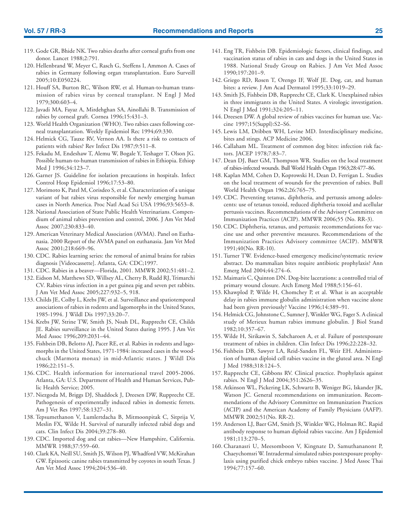- 119. Gode GR, Bhide NK. Two rabies deaths after corneal grafts from one donor. Lancet 1988;2:791.
- 120. Hellenbrand W, Meyer C, Rasch G, Steffens I, Ammon A. Cases of rabies in Germany following organ transplantation. Euro Surveill 2005;10:E050224.
- 121. Houff SA, Burton RC, Wilson RW, et al. Human-to-human transmission of rabies virus by corneal transplant. N Engl J Med 1979;300:603–4.
- 122. Javadi MA, Fayaz A, Mirdehghan SA, Ainollahi B. Transmission of rabies by corneal graft. Cornea 1996;15:431–3.
- 123. World Health Organization (WHO). Two rabies cases following corneal transplantation. Weekly Epidemiol Rec 1994;69:330.
- 124. Helmick CG, Tauxe RV, Vernon AA. Is there a risk to contacts of patients with rabies? Rev Infect Dis 1987;9:511–8.
- 125. Fekadu M, Endeshaw T, Alemu W, Bogale Y, Teshager T, Olson JG. Possible human-to-human transmission of rabies in Ethiopia. Ethiop Med J 1996;34:123-7.
- 126. Garner JS. Guideline for isolation precautions in hospitals. Infect Control Hosp Epidemiol 1996;17:53–80.
- 127. Morimoto K, Patel M, Corisdeo S, et al. Characterization of a unique variant of bat rabies virus responsible for newly emerging human cases in North America. Proc Natl Acad Sci USA 1996;93:5653–8.
- 128. National Association of State Public Health Veterinarians. Compendium of animal rabies prevention and control, 2006. J Am Vet Med Assoc 2007;230:833–40.
- 129. American Veterinary Medical Association (AVMA). Panel on Euthanasia. 2000 Report of the AVMA panel on euthanasia. Jam Vet Med Assoc 2001;218:669–96.
- 130. CDC. Rabies learning series: the removal of animal brains for rabies diagnosis [Videocassette]. Atlanta, GA: CDC;1997.
- 131. CDC. Rabies in a beaver—Florida, 2001. MMWR 2002;51:481–2.
- 132. Eidson M, Matthews SD, Willsey AL, Cherry B, Rudd RJ, Trimarchi CV. Rabies virus infection in a pet guinea pig and seven pet rabbits. J Am Vet Med Assoc 2005;227:932–5, 918.
- 133. Childs JE, Colby L, Krebs JW, et al. Surveillance and spatiotemporal associations of rabies in rodents and lagomorphs in the United States, 1985-1994. J Wildl Dis 1997;33:20–7.
- 134. Krebs JW, Strine TW, Smith JS, Noah DL, Rupprecht CE, Childs JE. Rabies surveillance in the United States during 1995. J Am Vet Med Assoc 1996;209:2031–44.
- 135. Fishbein DB, Belotto AJ, Pacer RE, et al. Rabies in rodents and lagomorphs in the United States, 1971-1984: increased cases in the woodchuck (Marmota monax) in mid-Atlantic states. J Wildl Dis 1986;22:151–5.
- 136. CDC. Health information for international travel 2005-2006. Atlanta, GA: U.S. Department of Health and Human Services, Public Health Service; 2005.
- 137. Niezgoda M, Briggs DJ, Shaddock J, Dreesen DW, Rupprecht CE. Pathogenesis of experimentally induced rabies in domestic ferrets. Am J Vet Res 1997;58:1327–31.
- 138. Tepsumethanon V, Lumlertdacha B, Mitmoonpitak C, Sitprija V, Meslin FX, Wilde H. Survival of naturally infected rabid dogs and cats. Clin Infect Dis 2004;39:278–80.
- 139. CDC. Imported dog and cat rabies—New Hampshire, California. MMWR 1988;37:559–60.
- 140. Clark KA, Neill SU, Smith JS, Wilson PJ, Whadford VW, McKirahan GW. Epizootic canine rabies transmitted by coyotes in south Texas. J Am Vet Med Assoc 1994;204:536–40.
- 141. Eng TR, Fishbein DB. Epidemiologic factors, clinical findings, and vaccination status of rabies in cats and dogs in the United States in 1988. National Study Group on Rabies. J Am Vet Med Assoc 1990;197:201–9.
- 142. Griego RD, Rosen T, Orengo IF, Wolf JE. Dog, cat, and human bites: a review. J Am Acad Dermatol 1995;33:1019–29.
- 143. Smith JS, Fishbein DB, Rupprecht CE, Clark K. Unexplained rabies in three immigrants in the United States. A virologic investigation. N Engl J Med 1991;324:205–11.
- 144. Dreesen DW. A global review of rabies vaccines for human use. Vaccine 1997;15(Suppl):S2–S6.
- 145. Lewis LM, Dribben WH, Levine MD. Interdisciplinary medicine, bites and stings. ACP Medicine 2006.
- 146. Callaham ML. Treatment of common dog bites: infection risk factors. JACEP 1978;7:83–7.
- 147. Dean DJ, Baer GM, Thompson WR. Studies on the local treatment of rabies-infected wounds. Bull World Health Organ 1963;28:477–86.
- 148. Kaplan MM, Cohen D, Koprowski H, Dean D, Ferrigan L. Studies on the local treatment of wounds for the prevention of rabies. Bull World Health Organ 1962;26:765–75.
- 149. CDC. Preventing tetanus, diphtheria, and pertussis among adolescents: use of tetanus toxoid, reduced diphtheria toxoid and acellular pertussis vaccines. Recommendations of the Advisory Committee on Immunization Practices (ACIP). MMWR 2006;55 (No. RR-3).
- 150. CDC. Diphtheria, tetanus, and pertussis: recommendations for vaccine use and other preventive measures. Recommendations of the Immunization Practices Advisory committee (ACIP). MMWR 1991;40(No. RR-10).
- 151. Turner TW. Evidence-based emergency medicine/systematic review abstract. Do mammalian bites require antibiotic prophylaxis? Ann Emerg Med 2004;44:274–6.
- 152. Maimaris C, Quinton DN. Dog-bite lacerations: a controlled trial of primary wound closure. Arch Emerg Med 1988;5:156–61.
- 153. Khawplod P, Wilde H, Chomchey P, et al. What is an acceptable delay in rabies immune globulin administration when vaccine alone had been given previously? Vaccine 1996;14:389–91.
- 154. Helmick CG, Johnstone C, Sumner J, Winkler WG, Fager S. A clinical study of Merieux human rabies immune globulin. J Biol Stand 1982;10:357–67.
- 155. Wilde H, Sirikawin S, Sabcharoen A, et al. Failure of postexposure treatment of rabies in children. Clin Infect Dis 1996;22:228–32.
- 156. Fishbein DB, Sawyer LA, Reid-Sanden FL, Weir EH. Administration of human diploid cell rabies vaccine in the gluteal area. N Engl J Med 1988;318:124–5.
- 157. Rupprecht CE, Gibbons RV. Clinical practice. Prophylaxis against rabies. N Engl J Med 2004;351:2626–35.
- 158. Atkinson WL, Pickering LK, Schwartz B, Weniger BG, Iskander JK, Watson JC. General recommendations on immunization. Recommendations of the Advisory Committee on Immunization Practices (ACIP) and the American Academy of Family Physicians (AAFP). MMWR 2002;51(No. RR-2).
- 159. Anderson LJ, Baer GM, Smith JS, Winkler WG, Holman RC. Rapid antibody response to human diploid rabies vaccine. Am J Epidemiol 1981;113:270–5.
- 160. Charanasri U, Meesomboon V, Kingnate D, Samuthananont P, Chaeychomsri W. Intradermal simulated rabies postexposure prophylaxis using purified chick embryo rabies vaccine. J Med Assoc Thai 1994;77:157–60.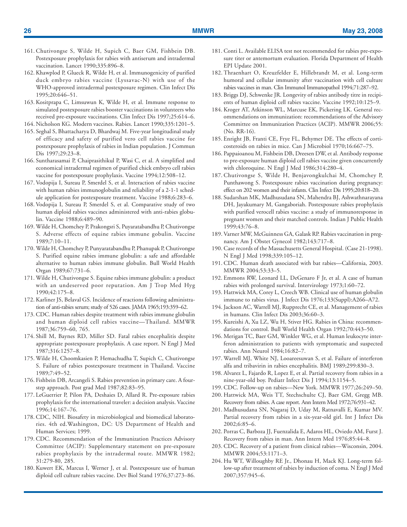- 161. Chutivongse S, Wilde H, Supich C, Baer GM, Fishbein DB. Postexposure prophylaxis for rabies with antiserum and intradermal vaccination. Lancet 1990;335:896–8.
- 162. Khawplod P, Glueck R, Wilde H, et al. Immunogenicity of purified duck embryo rabies vaccine (Lyssavac-N) with use of the WHO-approved intradermal postexposure regimen. Clin Infect Dis 1995;20:646–51.
- 163. Kositprapa C, Limsuwun K, Wilde H, et al. Immune response to simulated postexposure rabies booster vaccinations in volunteers who received pre-exposure vaccinations. Clin Infect Dis 1997;25:614–6.
- 164. Nicholson KG. Modern vaccines. Rabies. Lancet 1990;335:1201–5.
- 165. Seghal S, Bhattacharya D, Bhardwaj M. Five-year longitudinal study of efficacy and safety of purified vero cell rabies vaccine for postexposure prophylaxis of rabies in Indian population. J Commun Dis 1997;29:23–8.
- 166. Suntharasamai P, Chaiprasithikul P, Wasi C, et al. A simplified and economical intradermal regimen of purified chick embryo cell rabies vaccine for postexposure prophylaxis. Vaccine 1994;12:508–12.
- 167. Vodopija I, Sureau P, Smerdel S, et al. Interaction of rabies vaccine with human rabies immunoglobulin and reliability of a 2-1-1 schedule application for postexposure treatment. Vaccine 1988;6:283–6.
- 168. Vodopija I, Sureau P, Smerdel S, et al. Comparative study of two human diploid rabies vaccines administered with anti-rabies globulin. Vaccine 1988;6:489–90.
- 169. Wilde H, Chomchey P, Prakongsri S, Puyaratabandhu P, Chutivongse S. Adverse effects of equine rabies immune gobulin. Vaccine 1989;7:10–11.
- 170. Wilde H, Chomchey P, Punyaratabandhu P, Phanupak P, Chutivongse S. Purified equine rabies immune globulin: a safe and affordable alternative to human rabies immune globulin. Bull World Health Organ 1989;67:731–6.
- 171. Wilde H, Chutivongse S. Equine rabies immune globulin: a product with an undeserved poor reputation. Am J Trop Med Hyg 1990;42:175–8.
- 172. Karliner JS, Belaval GS. Incidence of reactions following administration of anti-rabies serum; study of 526 cases. JAMA 1965;193:359–62.
- 173. CDC. Human rabies despite treatment with rabies immune globulin and human diploid cell rabies vaccine—Thailand. MMWR 1987;36:759–60, 765.
- 174. Shill M, Baynes RD, Miller SD. Fatal rabies encephalitis despite appropriate postexposure prophylaxis. A case report. N Engl J Med 1987;316:1257–8.
- 175. Wilde H, Choomkasien P, Hemachudha T, Supich C, Chutivongse S. Failure of rabies postexposure treatment in Thailand. Vaccine 1989;7:49–52.
- 176. Fishbein DB, Arcangeli S. Rabies prevention in primary care. A fourstep approach. Post grad Med 1987;82:83–95.
- 177. LeGuerrier P, Pilon PA, Deshaies D, Allard R. Pre-exposure rabies prophylaxis for the international traveler: a decision analysis. Vaccine 1996;14:167–76.
- 178. CDC, NIH. Biosafety in microbiological and biomedical laboratories. 4th ed.Washington, DC: US Department of Health and Human Services; 1999.
- 179. CDC. Recommendation of the Immunization Practices Advisory Committee (ACIP): Supplementary statement on pre-exposure rabies prophylaxis by the intradermal route. MMWR 1982; 31:279-80, 285.
- 180. Kuwert EK, Marcus I, Werner J, et al. Postexposure use of human diploid cell culture rabies vaccine. Dev Biol Stand 1976;37:273–86.
- 181. Conti L. Available ELISA test not recommended for rabies pre-exposure titer or antemortum evaluation. Florida Department of Health EPI Update 2001.
- 182. Thraenhart O, Kreuzfelder E, Hillebrandt M, et al. Long-term humoral and cellular immunity after vaccination with cell culture rabies vaccines in man. Clin Immunol Immunopathol 1994;71:287–92.
- 183. Briggs DJ, Schwenke JR. Longevity of rabies antibody titre in recipients of human diploid cell rabies vaccine. Vaccine 1992;10:125–9.
- 184. Kroger AT, Atkinson WL, Marcuse EK, Pickering LK. General recommendations on immunization: recommendations of the Advisory Committee on Immunization Practices (ACIP). MMWR 2006;55: (No. RR-16).
- 185. Enright JB, Franti CE, Frye FL, Behymer DE. The effects of corticosteroids on rabies in mice. Can J Microbiol 1970;16:667–75.
- 186. Pappaioanou M, Fishbein DB, Dreesen DW, et al. Antibody response to pre-exposure human diploid cell rabies vaccine given concurrently with chloroquine. N Engl J Med 1986;314:280–4.
- 187. Chutivongse S, Wilde H, Benjavongkulchai M, Chomchey P, Punthawong S. Postexposure rabies vaccination during pregnancy: effect on 202 women and their infants. Clin Infect Dis 1995;20:818–20.
- 188. Sudarshan MK, Madhusudana SN, Mahendra BJ, Ashwathnarayana DH, Jayakumary M, Gangaboriah. Postexposure rabies prophylaxis with purified verocell rabies vaccine: a study of immunoresponse in pregnant women and their matched controls. Indian J Public Health 1999;43:76–8.
- 189. Varner MW, McGuinness GA, Galask RP. Rabies vaccination in pregnancy. Am J Obstet Gynecol 1982;143:717–8.
- 190. Case records of the Massachusetts General Hospital. (Case 21-1998). N Engl J Med 1998;339:105–12.
- 191. CDC. Human death associated with bat rabies—California, 2003. MMWR 2004;53:33–5.
- 192. Emmons RW, Leonard LL, DeGenaro F Jr, et al. A case of human rabies with prolonged survival. Intervirology 1973;1:60–72.
- 193. Hattwick MA, Corey L, Creech WB. Clinical use of human globulin immune to rabies virus. J Infect Dis 1976;133(Suppl):A266–A72.
- 194. Jackson AC, Warrell MJ, Rupprecht CE, et al. Management of rabies in humans. Clin Infect Dis 2003;36:60–3.
- 195. Kureishi A, Xu LZ, Wu H, Stiver HG. Rabies in China: recommendations for control. Bull World Health Organ 1992;70:443–50.
- 196. Merigan TC, Baer GM, Winkler WG, et al. Human leukocyte interferon administration to patients with symptomatic and suspected rabies. Ann Neurol 1984;16:82–7.
- 197. Warrell MJ, White NJ, Looareesuwan S, et al. Failure of interferon alfa and tribavirin in rabies encephalitis. BMJ 1989;299:830–3.
- 198. Alvarez L, Fajardo R, Lopez E, et al. Partial recovery from rabies in a nine-year-old boy. Pediatr Infect Dis J 1994;13:1154–5.
- 199. CDC. Follow-up on rabies—New York. MMWR 1977;26:249–50.
- 200. Hattwick MA, Weis TT, Stechschulte CJ, Baer GM, Gregg MB. Recovery from rabies. A case report. Ann Intern Med 1972;76:931–42.
- 201. Madhusudana SN, Nagaraj D, Uday M, Ratnavalli E, Kumar MV. Partial recovery from rabies in a six-year-old girl. Int J Infect Dis 2002;6:85–6.
- 202. Porras C, Barboza JJ, Fuenzalida E, Adaros HL, Oviedo AM, Furst J. Recovery from rabies in man. Ann Intern Med 1976;85:44–8.
- 203. CDC. Recovery of a patient from clinical rabies—Wisconsin, 2004. MMWR 2004;53:1171–3.
- 204. Hu WT, Willoughby RE Jr., Dhonau H, Mack KJ. Long-term follow-up after treatment of rabies by induction of coma. N Engl J Med 2007;357:945–6.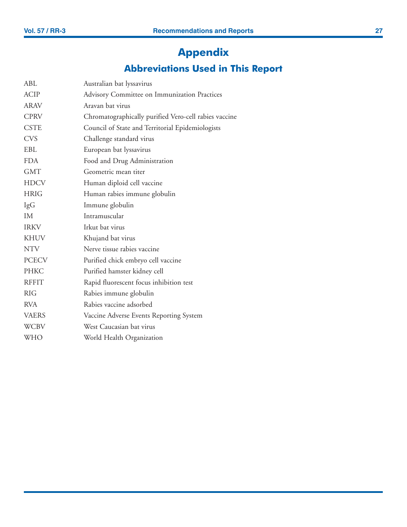# **Appendix**

# **Abbreviations Used in This Report**

| <b>ABL</b>   | Australian bat lyssavirus                             |
|--------------|-------------------------------------------------------|
| <b>ACIP</b>  | Advisory Committee on Immunization Practices          |
| <b>ARAV</b>  | Aravan bat virus                                      |
| <b>CPRV</b>  | Chromatographically purified Vero-cell rabies vaccine |
| <b>CSTE</b>  | Council of State and Territorial Epidemiologists      |
| <b>CVS</b>   | Challenge standard virus                              |
| <b>EBL</b>   | European bat lyssavirus                               |
| <b>FDA</b>   | Food and Drug Administration                          |
| <b>GMT</b>   | Geometric mean titer                                  |
| <b>HDCV</b>  | Human diploid cell vaccine                            |
| <b>HRIG</b>  | Human rabies immune globulin                          |
| IgG          | Immune globulin                                       |
| IM           | Intramuscular                                         |
| <b>IRKV</b>  | Irkut bat virus                                       |
| <b>KHUV</b>  | Khujand bat virus                                     |
| <b>NTV</b>   | Nerve tissue rabies vaccine                           |
| <b>PCECV</b> | Purified chick embryo cell vaccine                    |
| <b>PHKC</b>  | Purified hamster kidney cell                          |
| <b>RFFIT</b> | Rapid fluorescent focus inhibition test               |
| <b>RIG</b>   | Rabies immune globulin                                |
| <b>RVA</b>   | Rabies vaccine adsorbed                               |
| <b>VAERS</b> | Vaccine Adverse Events Reporting System               |
| <b>WCBV</b>  | West Caucasian bat virus                              |
| <b>WHO</b>   | World Health Organization                             |
|              |                                                       |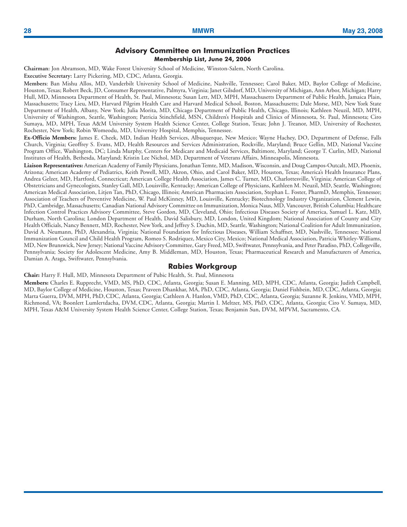### **Advisory Committee on Immunization Practices Membership List, June 24, 2006**

**Chairman:** Jon Abramson, MD, Wake Forest University School of Medicine, Winston-Salem, North Carolina.

**Executive Secretary:** Larry Pickering, MD, CDC, Atlanta, Georgia.

**Members**: Ban Mishu Allos, MD, Vanderbilt University School of Medicine, Nashville, Tennessee; Carol Baker, MD, Baylor College of Medicine, Houston, Texas; Robert Beck, JD, Consumer Representative, Palmyra, Virginia; Janet Gilsdorf, MD, University of Michigan, Ann Arbor, Michigan; Harry Hull, MD, Minnesota Department of Health, St. Paul, Minnesota; Susan Lett, MD, MPH, Massachusetts Department of Public Health, Jamaica Plain, Massachusetts; Tracy Lieu, MD, Harvard Pilgrim Health Care and Harvard Medical School, Boston, Massachusetts; Dale Morse, MD, New York State Department of Health, Albany, New York; Julia Morita, MD, Chicago Department of Public Health, Chicago, Illinois; Kathleen Neuzil, MD, MPH, University of Washington, Seattle, Washington; Patricia Stinchfield, MSN, Children's Hospitals and Clinics of Minnesota, St. Paul, Minnesota; Ciro Sumaya, MD, MPH, Texas A&M University System Health Science Center, College Station, Texas; John J. Treanor, MD, University of Rochester, Rochester, New York; Robin Womeodu, MD, University Hospital, Memphis, Tennessee.

**Ex-Officio Members:** James E. Cheek, MD, Indian Health Services, Albuquerque, New Mexico; Wayne Hachey, DO, Department of Defense, Falls Church, Virginia; Geoffrey S. Evans, MD, Health Resources and Services Administration, Rockville, Maryland; Bruce Gellin, MD, National Vaccine Program Office, Washington, DC; Linda Murphy, Centers for Medicare and Medicaid Services, Baltimore, Maryland; George T. Curlin, MD, National Institutes of Health, Bethesda, Maryland; Kristin Lee Nichol, MD, Department of Veterans Affairs, Minneapolis, Minnesota.

**Liaison Representatives:** American Academy of Family Physicians, Jonathan Temte, MD, Madison, Wisconsin, and Doug Campos-Outcalt, MD, Phoenix, Arizona; American Academy of Pediatrics, Keith Powell, MD, Akron, Ohio, and Carol Baker, MD, Houston, Texas; America's Health Insurance Plans, Andrea Gelzer, MD, Hartford, Connecticut; American College Health Association, James C. Turner, MD, Charlottesville, Virginia; American College of Obstetricians and Gynecologists, Stanley Gall, MD, Louisville, Kentucky; American College of Physicians, Kathleen M. Neuzil, MD, Seattle, Washington; American Medical Association, Litjen Tan, PhD, Chicago, Illinois; American Pharmacists Association, Stephan L. Foster, PharmD, Memphis, Tennessee; Association of Teachers of Preventive Medicine, W. Paul McKinney, MD, Louisville, Kentucky; Biotechnology Industry Organization, Clement Lewin, PhD, Cambridge, Massachusetts; Canadian National Advisory Committee on Immunization, Monica Naus, MD, Vancouver, British Columbia; Healthcare Infection Control Practices Advisory Committee, Steve Gordon, MD, Cleveland, Ohio; Infectious Diseases Society of America, Samuel L. Katz, MD, Durham, North Carolina; London Department of Health, David Salisbury, MD, London, United Kingdom; National Association of County and City Health Officials, Nancy Bennett, MD, Rochester, New York, and Jeffrey S. Duchin, MD, Seattle, Washington; National Coalition for Adult Immunization, David A. Neumann, PhD, Alexandria, Virginia; National Foundation for Infectious Diseases, William Schaffner, MD, Nashville, Tennessee; National Immunization Council and Child Health Program, Romeo S. Rodriquez, Mexico City, Mexico; National Medical Association, Patricia Whitley-Williams, MD, New Brunswick, New Jersey; National Vaccine Advisory Committee, Gary Freed, MD, Swiftwater, Pennsylvania, and Peter Paradiso, PhD, Collegeville, Pennsylvania; Society for Adolescent Medicine, Amy B. Middleman, MD, Houston, Texas; Pharmaceutical Research and Manufacturers of America, Damian A. Araga, Swiftwater, Pennsylvania.

### **Rabies Workgroup**

**Chair:** Harry F. Hull, MD, Minnesota Department of Pubic Health, St. Paul, Minnesota

**Members:** Charles E. Rupprecht, VMD, MS, PhD, CDC, Atlanta, Georgia; Susan E. Manning, MD, MPH, CDC, Atlanta, Georgia; Judith Campbell, MD, Baylor College of Medicine, Houston, Texas; Praveen Dhankhar, MA, PhD, CDC, Atlanta, Georgia; Daniel Fishbein, MD,CDC, Atlanta, Georgia; Marta Guerra, DVM, MPH, PhD,CDC, Atlanta, Georgia; Cathleen A. Hanlon, VMD, PhD, CDC, Atlanta, Georgia; Suzanne R. Jenkins, VMD, MPH, Richmond, VA; Boonlert Lumlertdacha, DVM, CDC, Atlanta, Georgia; Martin I. Meltzer, MS, PhD, CDC, Atlanta, Georgia; Ciro V. Sumaya, MD, MPH, Texas A&M University System Health Science Center, College Station, Texas; Benjamin Sun, DVM, MPVM, Sacramento, CA.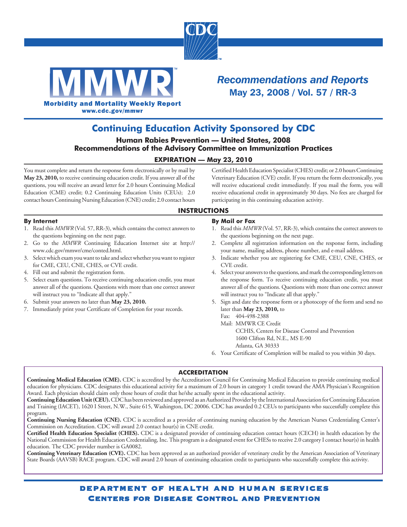



www.cdc.gov/mmwr

*Recommendations and Reports* May 23, 2008 / Vol. 57 / RR-3

# **Continuing Education Activity Sponsored by CDC**

## **Human Rabies Prevention — United States, 2008 Recommendations of the Advisory Committee on Immunization Practices**

### **EXPIRATION — May 23, 2010**

You must complete and return the response form electronically or by mail by **May 23, 2010,** to receive continuing education credit. If you answer all of the questions, you will receive an award letter for 2.0 hours Continuing Medical Education (CME) credit; 0.2 Continuing Education Units (CEUs); 2.0 contact hours Continuing Nursing Education (CNE) credit; 2.0 contact hours Certified Health Education Specialist (CHES) credit; or 2.0 hours Continuing Veterinary Education (CVE) credit. If you return the form electronically, you will receive educational credit immediately. If you mail the form, you will receive educational credit in approximately 30 days. No fees are charged for participating in this continuing education activity.

### **INSTRUCTIONS**

#### **By Internet**

- 1. Read this *MMWR* (Vol. 57, RR-3), which contains the correct answers to the questions beginning on the next page.
- 2. Go to the *MMWR* Continuing Education Internet site at [http://](http://www.cdc.gov/mmwr/cme/conted.html) [www.cdc.gov/mmwr/cme/conted.html.](http://www.cdc.gov/mmwr/cme/conted.html)
- 3. Select which exam you want to take and select whether you want to register for CME, CEU, CNE, CHES, or CVE credit.
- 4. Fill out and submit the registration form.
- 5. Select exam questions. To receive continuing education credit, you must answer all of the questions. Questions with more than one correct answer will instruct you to "Indicate all that apply."
- 6. Submit your answers no later than **May 23, 2010.**
- 7. Immediately print your Certificate of Completion for your records.

**By Mail or Fax**

- 1. Read this *MMWR* (Vol. 57, RR-3), which contains the correct answers to the questions beginning on the next page.
- 2. Complete all registration information on the response form, including your name, mailing address, phone number, and e-mail address.
- 3. Indicate whether you are registering for CME, CEU, CNE, CHES, or CVE credit.
- 4. Select your answers to the questions, and mark the corresponding letters on the response form. To receive continuing education credit, you must answer all of the questions. Questions with more than one correct answer will instruct you to "Indicate all that apply."
- 5. Sign and date the response form or a photocopy of the form and send no later than **May 23, 2010,** to
	- Fax: 404-498-2388
	- Mail: MMWR CE Credit

CCHIS, Centers for Disease Control and Prevention

- 1600 Clifton Rd, N.E., MS E-90
- Atlanta, GA 30333
- 6. Your Certificate of Completion will be mailed to you within 30 days.

### **ACCREDITATION**

**Continuing Medical Education (CME).** CDC is accredited by the Accreditation Council for Continuing Medical Education to provide continuing medical education for physicians. CDC designates this educational activity for a maximum of 2.0 hours in category 1 credit toward the AMA Physician's Recognition Award. Each physician should claim only those hours of credit that he/she actually spent in the educational activity.

**Continuing Education Unit (CEU).** CDC has been reviewed and approved as an Authorized Provider by the International Association for Continuing Education and Training (IACET), 1620 I Street, N.W., Suite 615, Washington, DC 20006. CDC has awarded 0.2 CEUs to participants who successfully complete this program.

**Continuing Nursing Education (CNE).** CDC is accredited as a provider of continuing nursing education by the American Nurses Credentialing Center's Commission on Accreditation. CDC will award 2.0 contact hour(s) in CNE credit.

**Certified Health Education Specialist (CHES).** CDC is a designated provider of continuing education contact hours (CECH) in health education by the National Commission for Health Education Credentialing, Inc. This program is a designated event for CHESs to receive 2.0 category I contact hour(s) in health education. The CDC provider number is GA0082.

**Continuing Veterinary Education (CVE).** CDC has been approved as an authorized provider of veterinary credit by the American Association of Veterinary State Boards (AAVSB) RACE program. CDC will award 2.0 hours of continuing education credit to participants who successfully complete this activity.

# department of health and human services Centers for Disease Control and Prevention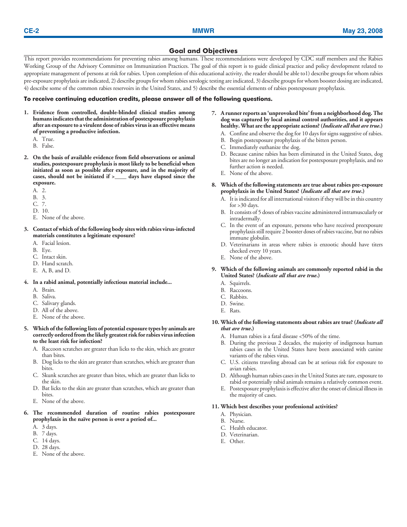### **Goal and Objectives**

This report provides recommendations for preventing rabies among humans. These recommendations were developed by CDC staff members and the Rabies Working Group of the Advisory Committee on Immunization Practices. The goal of this report is to guide clinical practice and policy development related to appropriate management of persons at risk for rabies. Upon completion of this educational activity, the reader should be able to1) describe groups for whom rabies pre-exposure prophylaxis are indicated, 2) describe groups for whom rabies serologic testing are indicated, 3) describe groups for whom booster dosing are indicated, 4) describe some of the common rabies reservoirs in the United States, and 5) describe the essential elements of rabies postexposure prophylaxis.

#### **To receive continuing education credits, please answer all of the following questions.**

**1. Evidence from controlled, double-blinded clinical studies among humans indicates that the administration of postexposure prophylaxis after an exposure to a virulent dose of rabies virus is an effective means of preventing a productive infection.**

A. True.

B. False.

**2. On the basis of available evidence from field observations or animal studies, postexposure prophylaxis is most likely to be beneficial when initiated as soon as possible after exposure, and in the majority of cases, should not be initiated if >\_\_\_\_ days have elapsed since the exposure.**

A. 2.

- B. 3.
- C. 7.
- D. 10.
- E. None of the above.
- **3. Contact of which of the following body sites with rabies virus-infected materials constitutes a legitimate exposure?**
	- A. Facial lesion.
	- B. Eye.
	- C. Intact skin.
	- D. Hand scratch.
	- E. A, B, and D.
- **4. In a rabid animal, potentially infectious material include...**
	- A. Brain.
	- B. Saliva.
	- C. Salivary glands.
	- D. All of the above.
	- E. None of the above.
- **5. Which of the following lists of potential exposure types by animals are correctly ordered from the likely greatest risk for rabies virus infection to the least risk for infection?**
	- A. Raccoon scratches are greater than licks to the skin, which are greater than bites.
	- B. Dog licks to the skin are greater than scratches, which are greater than bites.
	- C. Skunk scratches are greater than bites, which are greater than licks to the skin.
	- D. Bat licks to the skin are greater than scratches, which are greater than bites.
	- E. None of the above.

#### **6. The recommended duration of routine rabies postexposure prophylaxis in the naïve person is over a period of...**

- A. 3 days.
- B. 7 days.
- C. 14 days.
- D. 28 days.
- E. None of the above.
- **7. A runner reports an 'unprovoked bite' from a neighborhood dog. The dog was captured by local animal control authorities, and it appears healthy. What are the appropriate actions? (***Indicate all that are true***.)**
	- A. Confine and observe the dog for 10 days for signs suggestive of rabies.
	- B. Begin postexposure prophylaxis of the bitten person.
	- C. Immediately euthanize the dog.
	- D. Because canine rabies has been eliminated in the United States, dog bites are no longer an indication for postexposure prophylaxis, and no further action is needed.
	- E. None of the above.
- **8. Which of the following statements are true about rabies pre-exposure prophylaxis in the United States? (***Indicate all that are true***.)**
	- A. It is indicated for all international visitors if they will be in this country for  $>30$  days.
	- B. It consists of 5 doses of rabies vaccine administered intramuscularly or intradermally.
	- C. In the event of an exposure, persons who have received preexposure prophylaxis still require 2 booster doses of rabies vaccine, but no rabies immune globulin.
	- D. Veterinarians in areas where rabies is enzootic should have titers checked every 10 years.
	- E. None of the above.
- **9. Which of the following animals are commonly reported rabid in the United States? (***Indicate all that are true***.)**
	- A. Squirrels.
	- B. Raccoons.
	- C. Rabbits.
	- D. Swine.
	- E. Rats.
- **10. Which of the following statements about rabies are true? (***Indicate all that are true***.)**
	- A. Human rabies is a fatal disease <50% of the time.
	- B. During the previous 2 decades, the majority of indigenous human rabies cases in the United States have been associated with canine variants of the rabies virus.
	- C. U.S. citizens traveling abroad can be at serious risk for exposure to avian rabies.
	- D. Although human rabies cases in the United States are rare, exposure to rabid or potentially rabid animals remains a relatively common event.
	- E. Postexposure prophylaxis is effective after the onset of clinical illness in the majority of cases.

#### **11. Which best describes your professional activities?**

- A. Physician.
- B. Nurse.
- C. Health educator.
- D. Veterinarian.
- E. Other.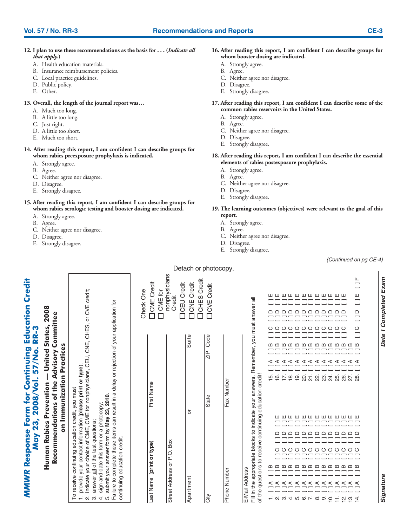#### **12. I plan to use these recommendations as the basis for . . . (***Indicate all that apply***.)**

- A. Health education materials.
- B. Insurance reimbursement policies.
- C. Local practice guidelines.
- D. Public policy.
- E. Other.

#### **13. Overall, the length of the journal report was…**

- A. Much too long.
- B. A little too long.
- C. Just right.
- D. A little too short.
- E. Much too short.

#### **14. After reading this report, I am confident I can describe groups for whom rabies preexposure prophylaxis is indicated.**

- A. Strongly agree.
- B. Agree.
- C. Neither agree nor disagree.
- D. Disagree.
- E. Strongly disagree.

#### **15. After reading this report, I am confident I can describe groups for whom rabies serologic testing and booster dosing are indicated.**

- A. Strongly agree.
- B. Agree.
- C. Neither agree nor disagree.
- D. Disagree.
- E. Strongly disagree.
- **16. After reading this report, I am confident I can describe groups for whom booster dosing are indicated.**
	- A. Strongly agree.
	- B. Agree.
	- C. Neither agree nor disagree.
	- D. Disagree.
	- E. Strongly disagree.

#### **17. After reading this report, I am confident I can describe some of the common rabies reservoirs in the United States.**

- A. Strongly agree.
- B. Agree.
- C. Neither agree nor disagree.
- D. Disagree.
- E. Strongly disagree.
- **18. After reading this report, I am confident I can describe the essential elements of rabies postexposure prophylaxis.**
	- A. Strongly agree.
	- B. Agree.
	- C. Neither agree nor disagree.
	- D. Disagree.
	- E. Strongly disagree.

#### **19. The learning outcomes (objectives) were relevant to the goal of this report.**

- A. Strongly agree.
- B. Agree.
- C. Neither agree nor disagree.
- D. Disagree.
- E. Strongly disagree.

(Continued on pg CE-4)

| Credit<br>Education<br><b>RR-3</b><br><b>MMWR Response Form for Continuing</b><br>57/No.<br>2008/Vol.<br>May 23, | 2008<br>Recommendations of the Advisory Committee<br>States,<br>on Immunization Practices<br>United<br>Human Rabies Prevention | indicate your choice of CME, CME for nonphysicians, CEU, CNE, CHES, or CVE credit;<br>Failure to complete these items can result in a delay or rejection of your application for<br>provide your contact information (please print or type);<br>To receive continuing education credit, you must<br>submit your answer form by May 23, 2010.<br>sign and date this form or a photocopy;<br>answer all of the test questions; | <b>OCME</b> Credit<br>Check One<br>CME for<br>٦<br>First Name | nonphysicians<br>CEU Credit<br>Credit<br>$\Box$<br>Suite<br>$\overline{5}$ | <b>OCHES Credit</b><br>CNE Credit<br><b>OCVE</b> Credit<br>Code<br>$\frac{p}{\overline{N}}$<br>State | Fax Number   | Remember, you must answer all<br>of the questions to receive continuing education credit!<br>answers.<br>Fill in the appropriate blocks to indicate your | Щ<br>$\overline{\phantom{0}}$<br>ш<br>шшшшшшшшшшш<br>$\overline{\phantom{0}}$<br>Ē,<br>$\begin{array}{cccccccccc} \multicolumn{4}{c}{} & \multicolumn{4}{c}{} & \multicolumn{4}{c}{} & \multicolumn{4}{c}{} & \multicolumn{4}{c}{} & \multicolumn{4}{c}{} & \multicolumn{4}{c}{} & \multicolumn{4}{c}{} & \multicolumn{4}{c}{} & \multicolumn{4}{c}{} & \multicolumn{4}{c}{} & \multicolumn{4}{c}{} & \multicolumn{4}{c}{} & \multicolumn{4}{c}{} & \multicolumn{4}{c}{} & \multicolumn{4}{c}{} & \multicolumn{4}{c}{} & \multicolumn{4}{c}{} & \multicolumn{4}{c}{} & \mult$<br>≏<br>≏<br>$\overline{\phantom{0}}$<br>00000000000<br>ပ<br>$\circ$<br>$\overline{\phantom{0}}$<br>ىب<br>മ<br>മ മ<br>മ<br>മമമ<br>≃<br>ണ<br>മ<br>≃<br>മ മ<br>ひとひひとひなくくち ひとひく<br>$\frac{1}{2}$<br>17.<br>$\frac{1}{2}$<br>$\overline{z}$<br>25.<br>Γņ.<br>$\frac{6}{1}$<br><u>ର୍ଥ୍</u><br>24.<br>20.<br>23.<br>26.<br>27.<br>28.<br>ш ш ш ш ш ш ш ш ш ш ш ш<br>@@@@@@@@@@@<br>മ മ<br>0000000000000<br>_ മ | Date I Completed Exam |
|------------------------------------------------------------------------------------------------------------------|--------------------------------------------------------------------------------------------------------------------------------|------------------------------------------------------------------------------------------------------------------------------------------------------------------------------------------------------------------------------------------------------------------------------------------------------------------------------------------------------------------------------------------------------------------------------|---------------------------------------------------------------|----------------------------------------------------------------------------|------------------------------------------------------------------------------------------------------|--------------|----------------------------------------------------------------------------------------------------------------------------------------------------------|----------------------------------------------------------------------------------------------------------------------------------------------------------------------------------------------------------------------------------------------------------------------------------------------------------------------------------------------------------------------------------------------------------------------------------------------------------------------------------------------------------------------------------------------------------------------------------------------------------------------------------------------------------------------------------------------------------------------------------------------------------------------------------------------------------------------------------------------------------------------------------------------------------------------------------------------------------------------------------------|-----------------------|
|                                                                                                                  |                                                                                                                                | continuing education credit.<br>$\overline{\mathsf{N}}$<br>က<br>$\vec{r}$<br>ယ္ပ                                                                                                                                                                                                                                                                                                                                             | Last Name (print or type)                                     | Street Address or P.O. Box<br>Apartment                                    | lÈ                                                                                                   | Phone Number | E-Mail Address                                                                                                                                           | ∢ ∢<br>RRRRRRRRRRR<br>4.5<br>$\phi \sim \phi$ வி<br>$\div$<br>က<br>$\overline{\tau}$<br>$\overline{\mathsf{N}}$<br>$\overline{Q}$<br>$\frac{\alpha}{\tau}$<br>$\tilde{5}$<br>$\overline{4}$                                                                                                                                                                                                                                                                                                                                                                                                                                                                                                                                                                                                                                                                                                                                                                                            | Signature             |

Detach or photocopy.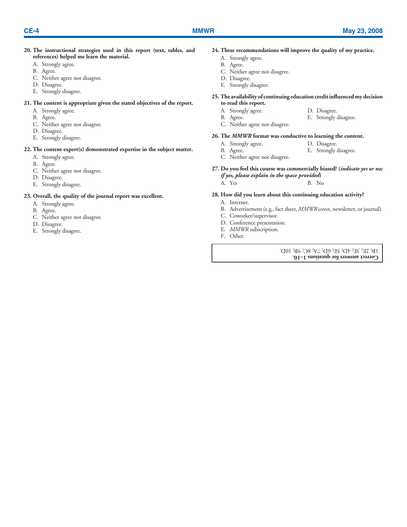#### **20. The instructional strategies used in this report (text, tables, and references) helped me learn the material.**

- A. Strongly agree.
- B. Agree.
- C. Neither agree nor disagree.
- D. Disagree.
- E. Strongly disagree.

#### **21. The content is appropriate given the stated objectives of the report.**

- A. Strongly agree.
- B. Agree.
- C. Neither agree nor disagree.
- D. Disagree.
- E. Strongly disagree.

### **22. The content expert(s) demonstrated expertise in the subject matter.**

- A. Strongly agree.
- B. Agree.
- C. Neither agree nor disagree.
- D. Disagree.
- E. Strongly disagree.

#### **23. Overall, the quality of the journal report was excellent.**

- A. Strongly agree.
- B. Agree.
- C. Neither agree nor disagree.
- D. Disagree.
- E. Strongly disagree.

#### **24. These recommendations will improve the quality of my practice.**

- A. Strongly agree.
- B. Agree.
- C. Neither agree nor disagree.
- D. Disagree.
- E. Strongly disagree.

#### **25. The availability of continuing education credit influenced my decision to read this report.**

- 
- A. Strongly agree. D. Disagree.<br>
B. Agree. E. Strongly E. Strongly disagree.
- C. Neither agree nor disagree.

#### **26. The** *MMWR* **format was conductive to learning the content.**

- A. Strongly agree. D. Disagree.
	-
- B. Agree. E. Strongly disagree.
- C. Neither agree nor disagree.
- **27. Do you feel this course was commercially biased? (***indicate yes or no; if yes, please explain in the space provided***)**
	- A. Yes B. No

#### **28. How did you learn about this continuing education activity?**

- A. Internet.
- B. Advertisement (e.g., fact sheet, *MMWR* cover, newsletter, or journal).
- C. Coworker/supervisor.
- D. Conference presentation.
- E. *MMWR* subscription.
- F. Other.

**Correct answers for questions 1–10.** 1B; 2E; 3E; 4D; 5E; 6D; 7A; 8C; 9B; 10D.